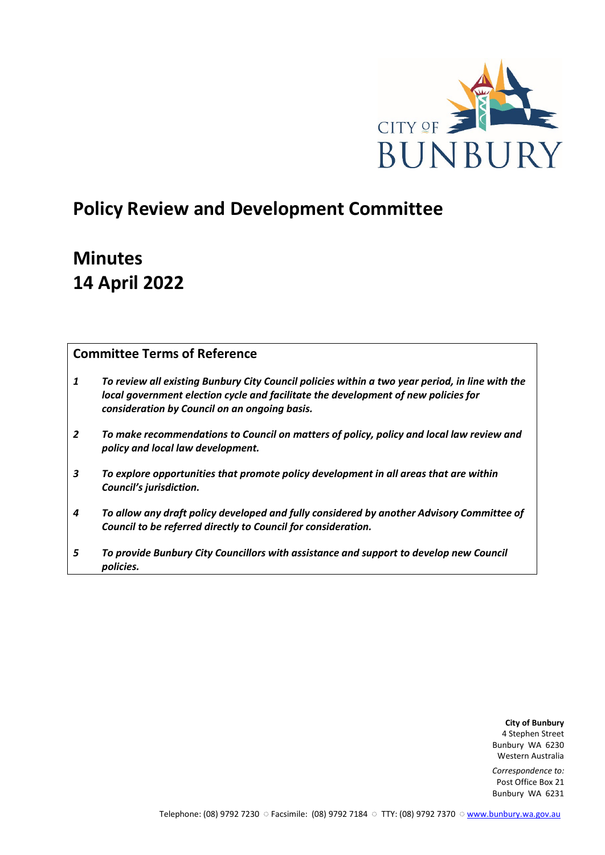

# **Policy Review and Development Committee**

# **Minutes 14 April 2022**

# **Committee Terms of Reference**

- *1 To review all existing Bunbury City Council policies within a two year period, in line with the local government election cycle and facilitate the development of new policies for consideration by Council on an ongoing basis.*
- *2 To make recommendations to Council on matters of policy, policy and local law review and policy and local law development.*
- *3 To explore opportunities that promote policy development in all areas that are within Council's jurisdiction.*
- *4 To allow any draft policy developed and fully considered by another Advisory Committee of Council to be referred directly to Council for consideration.*
- *5 To provide Bunbury City Councillors with assistance and support to develop new Council policies.*

**City of Bunbury** 4 Stephen Street Bunbury WA 6230 Western Australia

*Correspondence to:* Post Office Box 21 Bunbury WA 6231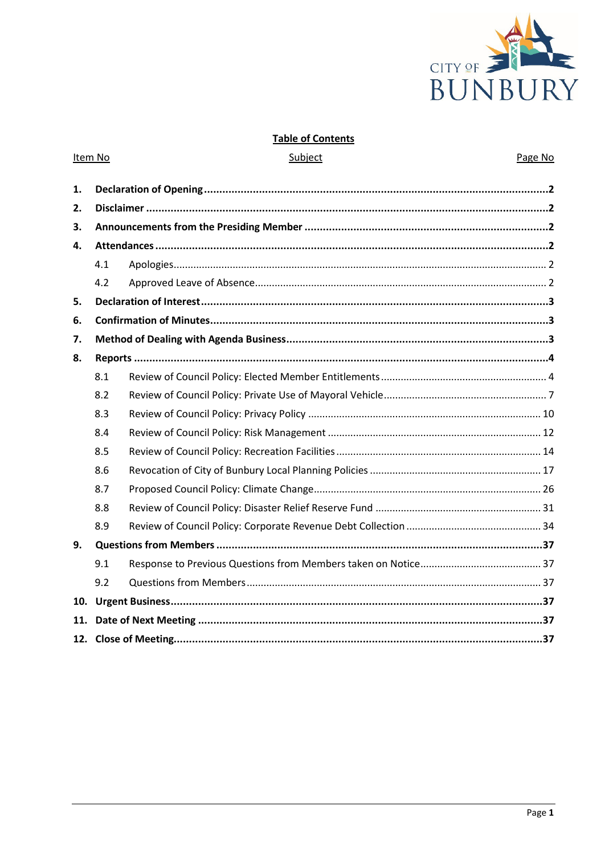

# **Table of Contents**

Subject

Item No

# Page No

| 1.  |     |  |  |  |  |
|-----|-----|--|--|--|--|
| 2.  |     |  |  |  |  |
| 3.  |     |  |  |  |  |
| 4.  |     |  |  |  |  |
|     | 4.1 |  |  |  |  |
|     | 4.2 |  |  |  |  |
| 5.  |     |  |  |  |  |
| 6.  |     |  |  |  |  |
| 7.  |     |  |  |  |  |
| 8.  |     |  |  |  |  |
|     | 8.1 |  |  |  |  |
|     | 8.2 |  |  |  |  |
|     | 8.3 |  |  |  |  |
|     | 8.4 |  |  |  |  |
|     | 8.5 |  |  |  |  |
|     | 8.6 |  |  |  |  |
|     | 8.7 |  |  |  |  |
|     | 8.8 |  |  |  |  |
|     | 8.9 |  |  |  |  |
| 9.  |     |  |  |  |  |
|     | 9.1 |  |  |  |  |
|     | 9.2 |  |  |  |  |
| 10. |     |  |  |  |  |
| 11. |     |  |  |  |  |
|     |     |  |  |  |  |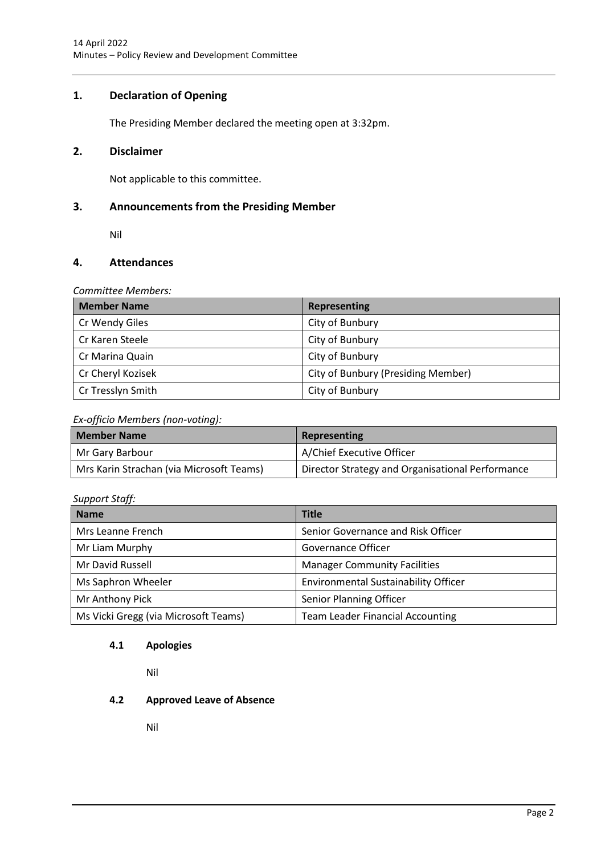# <span id="page-2-0"></span>**1. Declaration of Opening**

The Presiding Member declared the meeting open at 3:32pm.

# <span id="page-2-1"></span>**2. Disclaimer**

Not applicable to this committee.

# <span id="page-2-2"></span>**3. Announcements from the Presiding Member**

Nil

# <span id="page-2-3"></span>**4. Attendances**

*Committee Members:*

| <b>Member Name</b> | Representing                       |
|--------------------|------------------------------------|
| Cr Wendy Giles     | City of Bunbury                    |
| Cr Karen Steele    | City of Bunbury                    |
| Cr Marina Quain    | City of Bunbury                    |
| Cr Cheryl Kozisek  | City of Bunbury (Presiding Member) |
| Cr Tresslyn Smith  | City of Bunbury                    |

# *Ex-officio Members (non-voting):*

| <b>Member Name</b>                       | Representing                                     |
|------------------------------------------|--------------------------------------------------|
| Mr Gary Barbour                          | A/Chief Executive Officer                        |
| Mrs Karin Strachan (via Microsoft Teams) | Director Strategy and Organisational Performance |

# *Support Staff:*

| <b>Name</b>                          | <b>Title</b>                                |
|--------------------------------------|---------------------------------------------|
| Mrs Leanne French                    | Senior Governance and Risk Officer          |
| Mr Liam Murphy                       | Governance Officer                          |
| Mr David Russell                     | <b>Manager Community Facilities</b>         |
| Ms Saphron Wheeler                   | <b>Environmental Sustainability Officer</b> |
| Mr Anthony Pick                      | Senior Planning Officer                     |
| Ms Vicki Gregg (via Microsoft Teams) | <b>Team Leader Financial Accounting</b>     |

# <span id="page-2-4"></span>**4.1 Apologies**

Nil

# <span id="page-2-5"></span>**4.2 Approved Leave of Absence**

Nil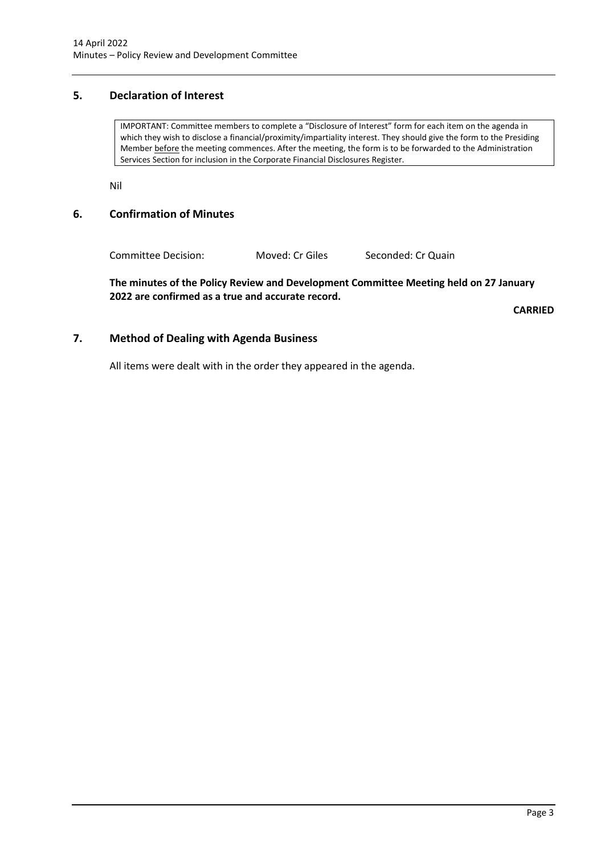# <span id="page-3-0"></span>**5. Declaration of Interest**

IMPORTANT: Committee members to complete a "Disclosure of Interest" form for each item on the agenda in which they wish to disclose a financial/proximity/impartiality interest. They should give the form to the Presiding Member before the meeting commences. After the meeting, the form is to be forwarded to the Administration Services Section for inclusion in the Corporate Financial Disclosures Register.

Nil

# <span id="page-3-1"></span>**6. Confirmation of Minutes**

Committee Decision: Moved: Cr Giles Seconded: Cr Quain

**The minutes of the Policy Review and Development Committee Meeting held on 27 January 2022 are confirmed as a true and accurate record.**

**CARRIED**

# <span id="page-3-2"></span>**7. Method of Dealing with Agenda Business**

All items were dealt with in the order they appeared in the agenda.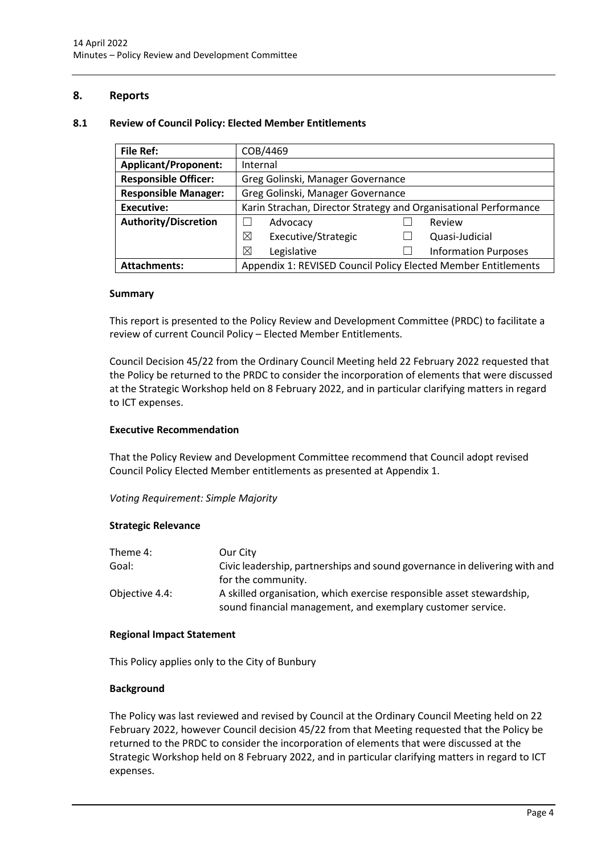# <span id="page-4-0"></span>**8. Reports**

# <span id="page-4-1"></span>**8.1 Review of Council Policy: Elected Member Entitlements**

| <b>File Ref:</b>            | COB/4469                                                         |  |                             |  |
|-----------------------------|------------------------------------------------------------------|--|-----------------------------|--|
| <b>Applicant/Proponent:</b> | Internal                                                         |  |                             |  |
| <b>Responsible Officer:</b> | Greg Golinski, Manager Governance                                |  |                             |  |
| <b>Responsible Manager:</b> | Greg Golinski, Manager Governance                                |  |                             |  |
| <b>Executive:</b>           | Karin Strachan, Director Strategy and Organisational Performance |  |                             |  |
| <b>Authority/Discretion</b> | Advocacy<br>Review                                               |  |                             |  |
|                             | ⊠<br>Executive/Strategic                                         |  | Quasi-Judicial              |  |
|                             | ⊠<br>Legislative                                                 |  | <b>Information Purposes</b> |  |
| <b>Attachments:</b>         | Appendix 1: REVISED Council Policy Elected Member Entitlements   |  |                             |  |

# **Summary**

This report is presented to the Policy Review and Development Committee (PRDC) to facilitate a review of current Council Policy – Elected Member Entitlements.

Council Decision 45/22 from the Ordinary Council Meeting held 22 February 2022 requested that the Policy be returned to the PRDC to consider the incorporation of elements that were discussed at the Strategic Workshop held on 8 February 2022, and in particular clarifying matters in regard to ICT expenses.

# **Executive Recommendation**

That the Policy Review and Development Committee recommend that Council adopt revised Council Policy Elected Member entitlements as presented at Appendix 1.

*Voting Requirement: Simple Majority* 

# **Strategic Relevance**

| Theme 4:       | Our City                                                                   |
|----------------|----------------------------------------------------------------------------|
| Goal:          | Civic leadership, partnerships and sound governance in delivering with and |
|                | for the community.                                                         |
| Objective 4.4: | A skilled organisation, which exercise responsible asset stewardship,      |
|                | sound financial management, and exemplary customer service.                |

# **Regional Impact Statement**

This Policy applies only to the City of Bunbury

# **Background**

The Policy was last reviewed and revised by Council at the Ordinary Council Meeting held on 22 February 2022, however Council decision 45/22 from that Meeting requested that the Policy be returned to the PRDC to consider the incorporation of elements that were discussed at the Strategic Workshop held on 8 February 2022, and in particular clarifying matters in regard to ICT expenses.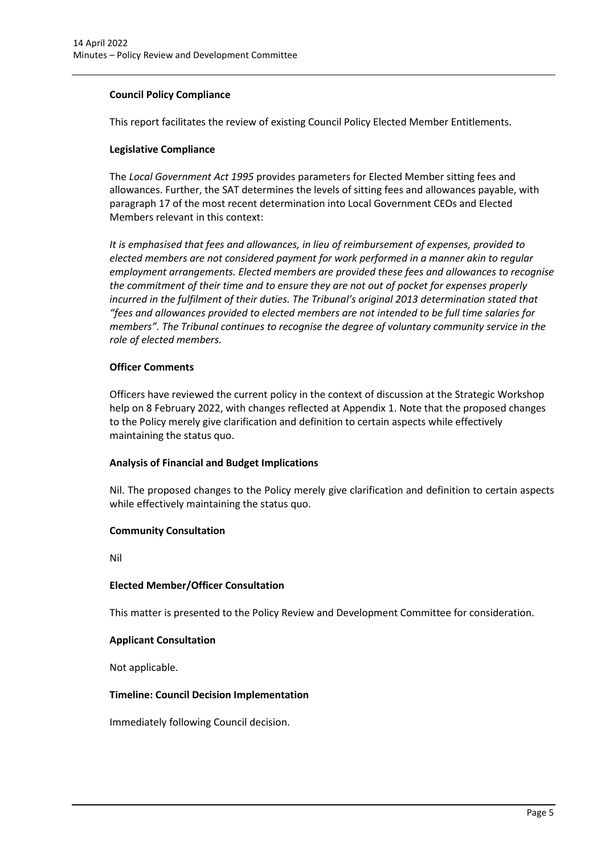# **Council Policy Compliance**

This report facilitates the review of existing Council Policy Elected Member Entitlements.

# **Legislative Compliance**

The *Local Government Act 1995* provides parameters for Elected Member sitting fees and allowances. Further, the SAT determines the levels of sitting fees and allowances payable, with paragraph 17 of the most recent determination into Local Government CEOs and Elected Members relevant in this context:

*It is emphasised that fees and allowances, in lieu of reimbursement of expenses, provided to elected members are not considered payment for work performed in a manner akin to regular employment arrangements. Elected members are provided these fees and allowances to recognise the commitment of their time and to ensure they are not out of pocket for expenses properly incurred in the fulfilment of their duties. The Tribunal's original 2013 determination stated that "fees and allowances provided to elected members are not intended to be full time salaries for members". The Tribunal continues to recognise the degree of voluntary community service in the role of elected members.* 

# **Officer Comments**

Officers have reviewed the current policy in the context of discussion at the Strategic Workshop help on 8 February 2022, with changes reflected at Appendix 1. Note that the proposed changes to the Policy merely give clarification and definition to certain aspects while effectively maintaining the status quo.

# **Analysis of Financial and Budget Implications**

Nil. The proposed changes to the Policy merely give clarification and definition to certain aspects while effectively maintaining the status quo.

# **Community Consultation**

Nil

# **Elected Member/Officer Consultation**

This matter is presented to the Policy Review and Development Committee for consideration.

# **Applicant Consultation**

Not applicable.

# **Timeline: Council Decision Implementation**

Immediately following Council decision.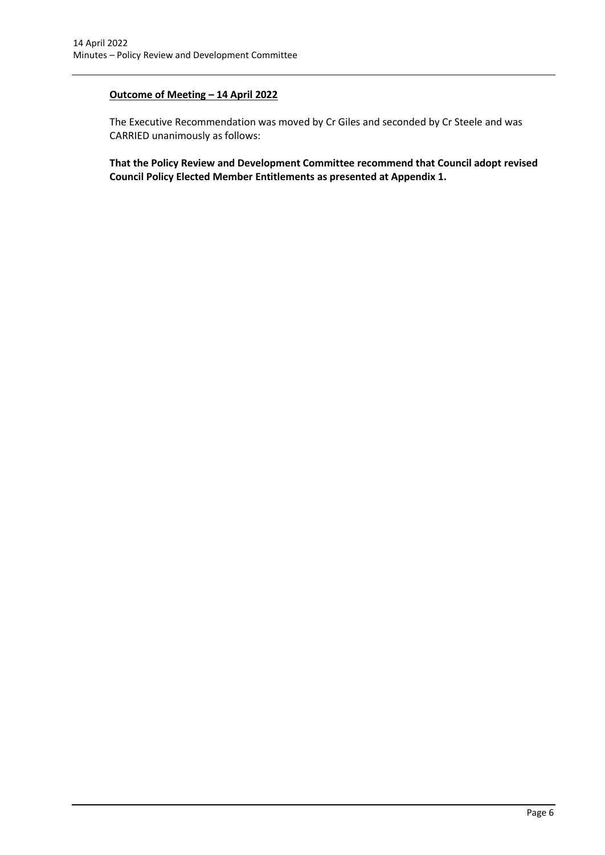# **Outcome of Meeting – 14 April 2022**

The Executive Recommendation was moved by Cr Giles and seconded by Cr Steele and was CARRIED unanimously as follows:

**That the Policy Review and Development Committee recommend that Council adopt revised Council Policy Elected Member Entitlements as presented at Appendix 1.**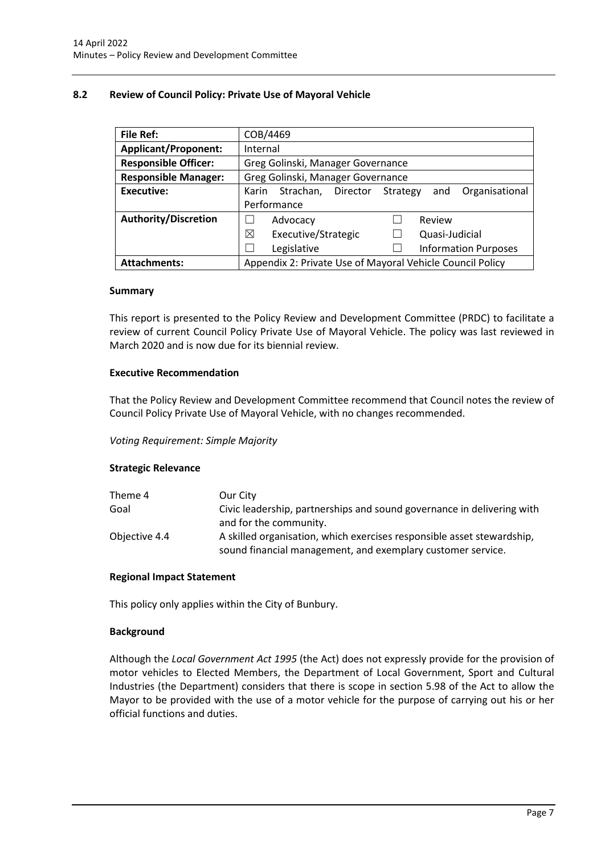# <span id="page-7-0"></span>**8.2 Review of Council Policy: Private Use of Mayoral Vehicle**

| <b>File Ref:</b>            | COB/4469                          |                                                           |          |                |        |                             |
|-----------------------------|-----------------------------------|-----------------------------------------------------------|----------|----------------|--------|-----------------------------|
| <b>Applicant/Proponent:</b> | Internal                          |                                                           |          |                |        |                             |
| <b>Responsible Officer:</b> | Greg Golinski, Manager Governance |                                                           |          |                |        |                             |
| <b>Responsible Manager:</b> | Greg Golinski, Manager Governance |                                                           |          |                |        |                             |
| <b>Executive:</b>           | Karin                             | Strachan,                                                 | Director | Strategy       | and    | Organisational              |
|                             |                                   | Performance                                               |          |                |        |                             |
| <b>Authority/Discretion</b> |                                   | Advocacy                                                  |          |                | Review |                             |
|                             | Executive/Strategic<br>⊠          |                                                           |          | Quasi-Judicial |        |                             |
|                             |                                   | Legislative                                               |          |                |        | <b>Information Purposes</b> |
| <b>Attachments:</b>         |                                   | Appendix 2: Private Use of Mayoral Vehicle Council Policy |          |                |        |                             |

# **Summary**

This report is presented to the Policy Review and Development Committee (PRDC) to facilitate a review of current Council Policy Private Use of Mayoral Vehicle. The policy was last reviewed in March 2020 and is now due for its biennial review.

# **Executive Recommendation**

That the Policy Review and Development Committee recommend that Council notes the review of Council Policy Private Use of Mayoral Vehicle, with no changes recommended.

# *Voting Requirement: Simple Majority*

# **Strategic Relevance**

| Theme 4       | Our City                                                               |
|---------------|------------------------------------------------------------------------|
| Goal          | Civic leadership, partnerships and sound governance in delivering with |
|               | and for the community.                                                 |
| Objective 4.4 | A skilled organisation, which exercises responsible asset stewardship, |
|               | sound financial management, and exemplary customer service.            |

# **Regional Impact Statement**

This policy only applies within the City of Bunbury.

# **Background**

Although the *Local Government Act 1995* (the Act) does not expressly provide for the provision of motor vehicles to Elected Members, the Department of Local Government, Sport and Cultural Industries (the Department) considers that there is scope in section 5.98 of the Act to allow the Mayor to be provided with the use of a motor vehicle for the purpose of carrying out his or her official functions and duties.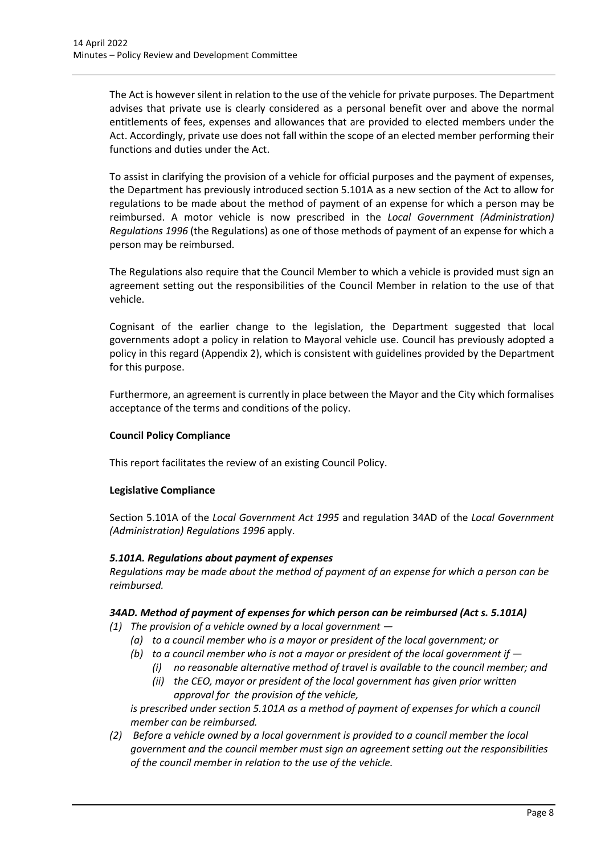The Act is however silent in relation to the use of the vehicle for private purposes. The Department advises that private use is clearly considered as a personal benefit over and above the normal entitlements of fees, expenses and allowances that are provided to elected members under the Act. Accordingly, private use does not fall within the scope of an elected member performing their functions and duties under the Act.

To assist in clarifying the provision of a vehicle for official purposes and the payment of expenses, the Department has previously introduced section 5.101A as a new section of the Act to allow for regulations to be made about the method of payment of an expense for which a person may be reimbursed. A motor vehicle is now prescribed in the *Local Government (Administration) Regulations 1996* (the Regulations) as one of those methods of payment of an expense for which a person may be reimbursed.

The Regulations also require that the Council Member to which a vehicle is provided must sign an agreement setting out the responsibilities of the Council Member in relation to the use of that vehicle.

Cognisant of the earlier change to the legislation, the Department suggested that local governments adopt a policy in relation to Mayoral vehicle use. Council has previously adopted a policy in this regard (Appendix 2), which is consistent with guidelines provided by the Department for this purpose.

Furthermore, an agreement is currently in place between the Mayor and the City which formalises acceptance of the terms and conditions of the policy.

# **Council Policy Compliance**

This report facilitates the review of an existing Council Policy.

# **Legislative Compliance**

Section 5.101A of the *Local Government Act 1995* and regulation 34AD of the *Local Government (Administration) Regulations 1996* apply.

# *5.101A. Regulations about payment of expenses*

*Regulations may be made about the method of payment of an expense for which a person can be reimbursed.*

# *34AD. Method of payment of expenses for which person can be reimbursed (Act s. 5.101A)*

- *(1) The provision of a vehicle owned by a local government —*
	- *(a) to a council member who is a mayor or president of the local government; or*
	- *(b) to a council member who is not a mayor or president of the local government if —*
		- *(i) no reasonable alternative method of travel is available to the council member; and*
		- *(ii) the CEO, mayor or president of the local government has given prior written approval for the provision of the vehicle,*

*is prescribed under section 5.101A as a method of payment of expenses for which a council member can be reimbursed.*

*(2) Before a vehicle owned by a local government is provided to a council member the local government and the council member must sign an agreement setting out the responsibilities of the council member in relation to the use of the vehicle.*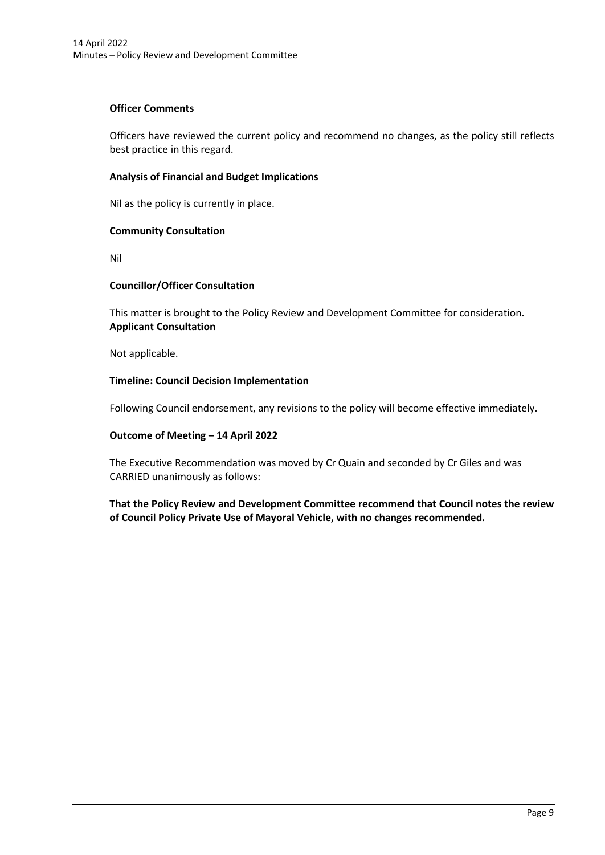# **Officer Comments**

Officers have reviewed the current policy and recommend no changes, as the policy still reflects best practice in this regard.

# **Analysis of Financial and Budget Implications**

Nil as the policy is currently in place.

# **Community Consultation**

Nil

# **Councillor/Officer Consultation**

This matter is brought to the Policy Review and Development Committee for consideration. **Applicant Consultation**

Not applicable.

# **Timeline: Council Decision Implementation**

Following Council endorsement, any revisions to the policy will become effective immediately.

# **Outcome of Meeting – 14 April 2022**

The Executive Recommendation was moved by Cr Quain and seconded by Cr Giles and was CARRIED unanimously as follows:

**That the Policy Review and Development Committee recommend that Council notes the review of Council Policy Private Use of Mayoral Vehicle, with no changes recommended.**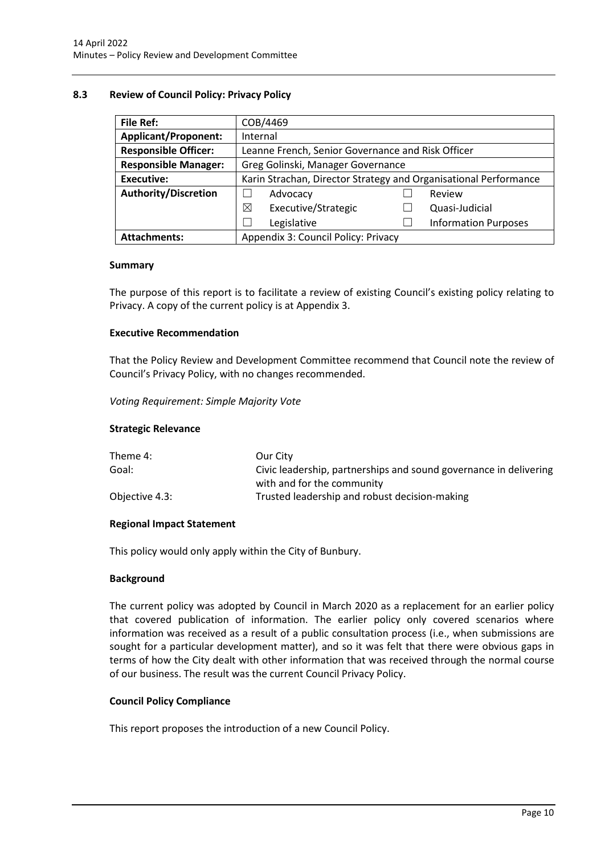# <span id="page-10-0"></span>**8.3 Review of Council Policy: Privacy Policy**

| File Ref:                   | COB/4469                                                         |  |                             |  |
|-----------------------------|------------------------------------------------------------------|--|-----------------------------|--|
| <b>Applicant/Proponent:</b> | Internal                                                         |  |                             |  |
| <b>Responsible Officer:</b> | Leanne French, Senior Governance and Risk Officer                |  |                             |  |
| <b>Responsible Manager:</b> | Greg Golinski, Manager Governance                                |  |                             |  |
| <b>Executive:</b>           | Karin Strachan, Director Strategy and Organisational Performance |  |                             |  |
| Authority/Discretion        | Advocacy                                                         |  | Review                      |  |
|                             | Executive/Strategic<br>⊠                                         |  | Quasi-Judicial              |  |
|                             | Legislative                                                      |  | <b>Information Purposes</b> |  |
| <b>Attachments:</b>         | Appendix 3: Council Policy: Privacy                              |  |                             |  |

#### **Summary**

The purpose of this report is to facilitate a review of existing Council's existing policy relating to Privacy. A copy of the current policy is at Appendix 3.

# **Executive Recommendation**

That the Policy Review and Development Committee recommend that Council note the review of Council's Privacy Policy, with no changes recommended.

#### *Voting Requirement: Simple Majority Vote*

#### **Strategic Relevance**

| Theme 4:       | Our City                                                          |
|----------------|-------------------------------------------------------------------|
| Goal:          | Civic leadership, partnerships and sound governance in delivering |
|                | with and for the community                                        |
| Objective 4.3: | Trusted leadership and robust decision-making                     |

# **Regional Impact Statement**

This policy would only apply within the City of Bunbury.

#### **Background**

The current policy was adopted by Council in March 2020 as a replacement for an earlier policy that covered publication of information. The earlier policy only covered scenarios where information was received as a result of a public consultation process (i.e., when submissions are sought for a particular development matter), and so it was felt that there were obvious gaps in terms of how the City dealt with other information that was received through the normal course of our business. The result was the current Council Privacy Policy.

# **Council Policy Compliance**

This report proposes the introduction of a new Council Policy.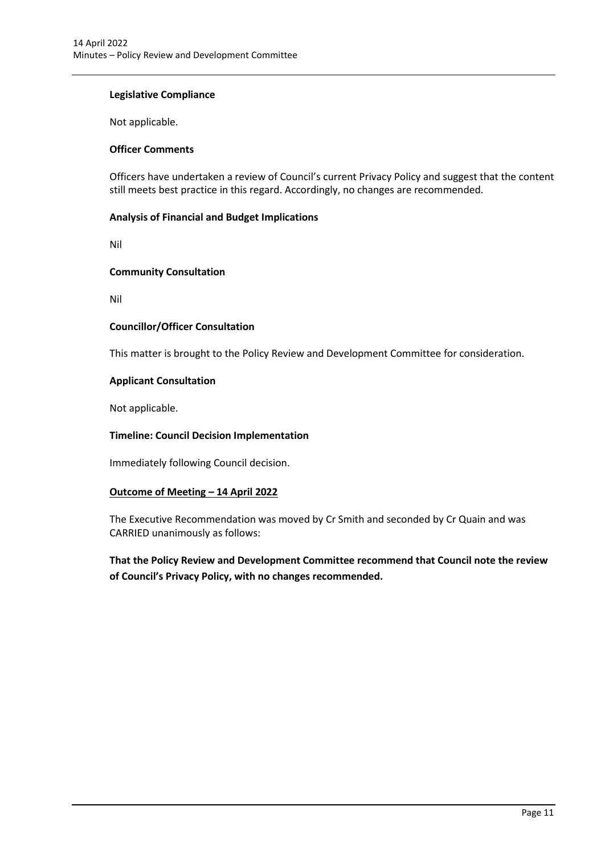# **Legislative Compliance**

Not applicable.

# **Officer Comments**

Officers have undertaken a review of Council's current Privacy Policy and suggest that the content still meets best practice in this regard. Accordingly, no changes are recommended.

# **Analysis of Financial and Budget Implications**

Nil

# **Community Consultation**

Nil

# **Councillor/Officer Consultation**

This matter is brought to the Policy Review and Development Committee for consideration.

# **Applicant Consultation**

Not applicable.

# **Timeline: Council Decision Implementation**

Immediately following Council decision.

# **Outcome of Meeting – 14 April 2022**

The Executive Recommendation was moved by Cr Smith and seconded by Cr Quain and was CARRIED unanimously as follows:

**That the Policy Review and Development Committee recommend that Council note the review of Council's Privacy Policy, with no changes recommended.**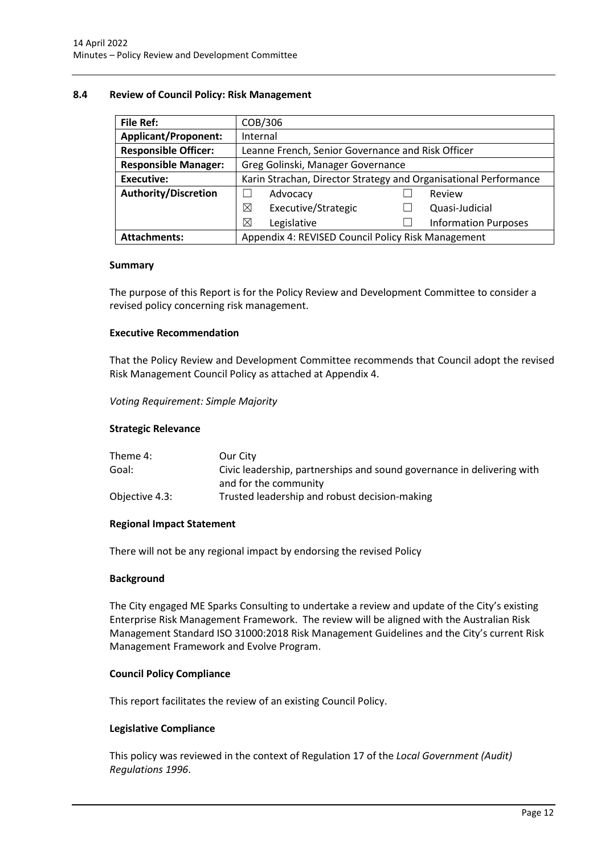# <span id="page-12-0"></span>**8.4 Review of Council Policy: Risk Management**

| <b>File Ref:</b>            | COB/306                                                          |  |                             |  |
|-----------------------------|------------------------------------------------------------------|--|-----------------------------|--|
| <b>Applicant/Proponent:</b> | Internal                                                         |  |                             |  |
| <b>Responsible Officer:</b> | Leanne French, Senior Governance and Risk Officer                |  |                             |  |
| <b>Responsible Manager:</b> | Greg Golinski, Manager Governance                                |  |                             |  |
| <b>Executive:</b>           | Karin Strachan, Director Strategy and Organisational Performance |  |                             |  |
| Authority/Discretion        | Advocacy                                                         |  | Review                      |  |
|                             | Executive/Strategic<br>⊠                                         |  | Quasi-Judicial              |  |
|                             | X<br>Legislative                                                 |  | <b>Information Purposes</b> |  |
| <b>Attachments:</b>         | Appendix 4: REVISED Council Policy Risk Management               |  |                             |  |

#### **Summary**

The purpose of this Report is for the Policy Review and Development Committee to consider a revised policy concerning risk management.

#### **Executive Recommendation**

That the Policy Review and Development Committee recommends that Council adopt the revised Risk Management Council Policy as attached at Appendix 4.

*Voting Requirement: Simple Majority*

#### **Strategic Relevance**

| Theme 4:       | Our City                                                               |
|----------------|------------------------------------------------------------------------|
| Goal:          | Civic leadership, partnerships and sound governance in delivering with |
|                | and for the community                                                  |
| Objective 4.3: | Trusted leadership and robust decision-making                          |

# **Regional Impact Statement**

There will not be any regional impact by endorsing the revised Policy

#### **Background**

The City engaged ME Sparks Consulting to undertake a review and update of the City's existing Enterprise Risk Management Framework. The review will be aligned with the Australian Risk Management Standard ISO 31000:2018 Risk Management Guidelines and the City's current Risk Management Framework and Evolve Program.

# **Council Policy Compliance**

This report facilitates the review of an existing Council Policy.

# **Legislative Compliance**

This policy was reviewed in the context of Regulation 17 of the *Local Government (Audit) Regulations 1996*.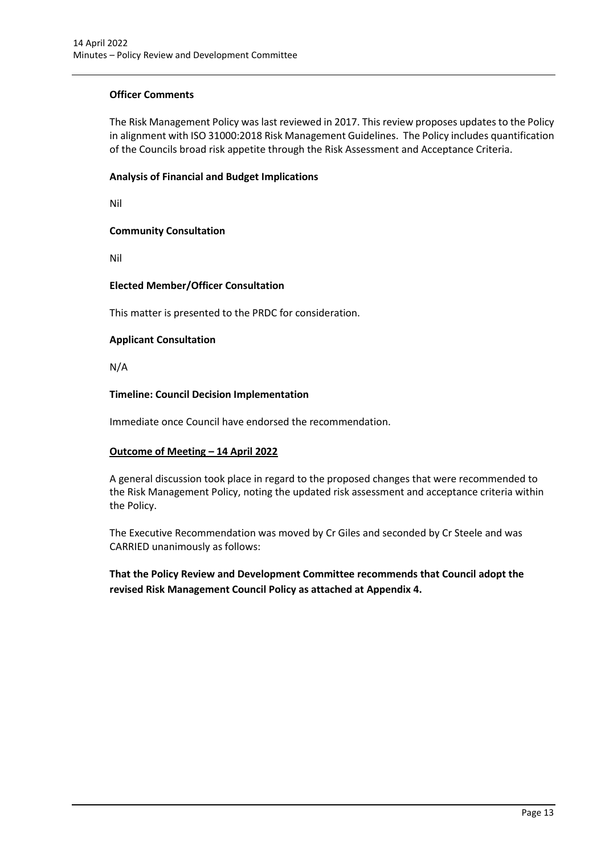# **Officer Comments**

The Risk Management Policy was last reviewed in 2017. This review proposes updates to the Policy in alignment with ISO 31000:2018 Risk Management Guidelines. The Policy includes quantification of the Councils broad risk appetite through the Risk Assessment and Acceptance Criteria.

# **Analysis of Financial and Budget Implications**

Nil

# **Community Consultation**

Nil

# **Elected Member/Officer Consultation**

This matter is presented to the PRDC for consideration.

# **Applicant Consultation**

N/A

# **Timeline: Council Decision Implementation**

Immediate once Council have endorsed the recommendation.

# **Outcome of Meeting – 14 April 2022**

A general discussion took place in regard to the proposed changes that were recommended to the Risk Management Policy, noting the updated risk assessment and acceptance criteria within the Policy.

The Executive Recommendation was moved by Cr Giles and seconded by Cr Steele and was CARRIED unanimously as follows:

**That the Policy Review and Development Committee recommends that Council adopt the revised Risk Management Council Policy as attached at Appendix 4.**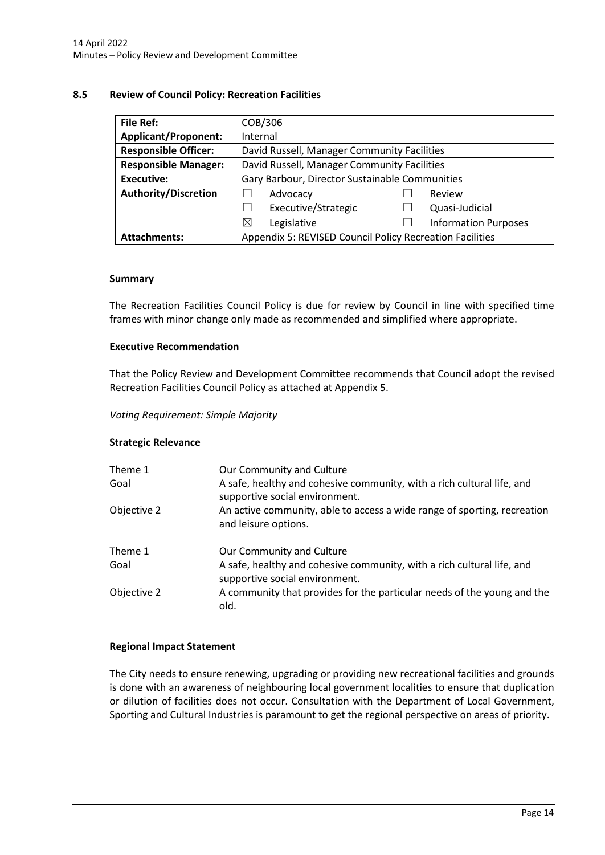# <span id="page-14-0"></span>**8.5 Review of Council Policy: Recreation Facilities**

| <b>File Ref:</b>            | COB/306                                                  |  |                             |
|-----------------------------|----------------------------------------------------------|--|-----------------------------|
| <b>Applicant/Proponent:</b> | Internal                                                 |  |                             |
| <b>Responsible Officer:</b> | David Russell, Manager Community Facilities              |  |                             |
| <b>Responsible Manager:</b> | David Russell, Manager Community Facilities              |  |                             |
| <b>Executive:</b>           | Gary Barbour, Director Sustainable Communities           |  |                             |
| <b>Authority/Discretion</b> | Advocacy                                                 |  | Review                      |
|                             | Executive/Strategic                                      |  | Quasi-Judicial              |
|                             | $\boxtimes$<br>Legislative                               |  | <b>Information Purposes</b> |
| <b>Attachments:</b>         | Appendix 5: REVISED Council Policy Recreation Facilities |  |                             |

#### **Summary**

The Recreation Facilities Council Policy is due for review by Council in line with specified time frames with minor change only made as recommended and simplified where appropriate.

# **Executive Recommendation**

That the Policy Review and Development Committee recommends that Council adopt the revised Recreation Facilities Council Policy as attached at Appendix 5.

*Voting Requirement: Simple Majority*

# **Strategic Relevance**

| Theme 1<br>Goal | Our Community and Culture<br>A safe, healthy and cohesive community, with a rich cultural life, and<br>supportive social environment. |
|-----------------|---------------------------------------------------------------------------------------------------------------------------------------|
| Objective 2     | An active community, able to access a wide range of sporting, recreation<br>and leisure options.                                      |
| Theme 1<br>Goal | Our Community and Culture<br>A safe, healthy and cohesive community, with a rich cultural life, and                                   |
| Objective 2     | supportive social environment.<br>A community that provides for the particular needs of the young and the<br>old.                     |

# **Regional Impact Statement**

The City needs to ensure renewing, upgrading or providing new recreational facilities and grounds is done with an awareness of neighbouring local government localities to ensure that duplication or dilution of facilities does not occur. Consultation with the Department of Local Government, Sporting and Cultural Industries is paramount to get the regional perspective on areas of priority.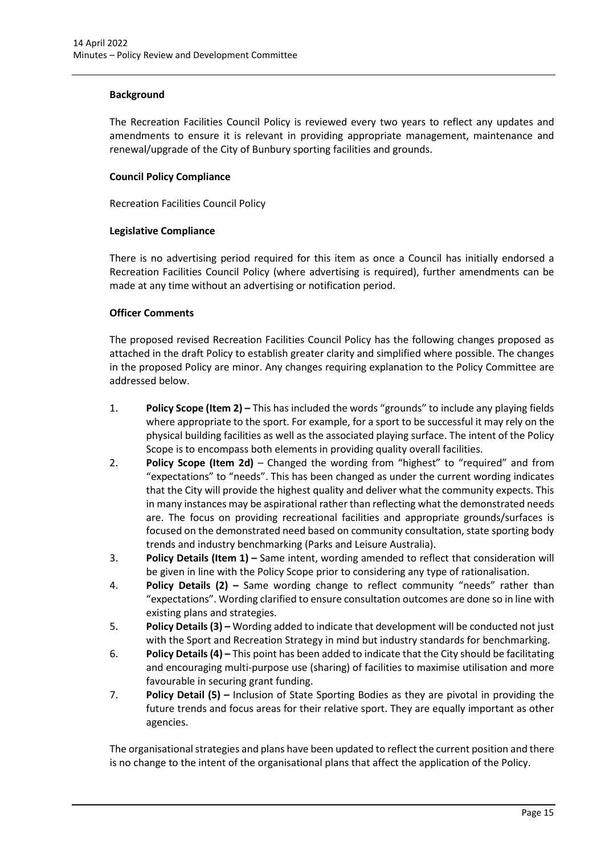# **Background**

The Recreation Facilities Council Policy is reviewed every two years to reflect any updates and amendments to ensure it is relevant in providing appropriate management, maintenance and renewal/upgrade of the City of Bunbury sporting facilities and grounds.

# **Council Policy Compliance**

Recreation Facilities Council Policy

# **Legislative Compliance**

There is no advertising period required for this item as once a Council has initially endorsed a Recreation Facilities Council Policy (where advertising is required), further amendments can be made at any time without an advertising or notification period.

# **Officer Comments**

The proposed revised Recreation Facilities Council Policy has the following changes proposed as attached in the draft Policy to establish greater clarity and simplified where possible. The changes in the proposed Policy are minor. Any changes requiring explanation to the Policy Committee are addressed below.

- 1. **Policy Scope (Item 2) –** This has included the words "grounds" to include any playing fields where appropriate to the sport. For example, for a sport to be successful it may rely on the physical building facilities as well as the associated playing surface. The intent of the Policy Scope is to encompass both elements in providing quality overall facilities.
- 2. **Policy Scope (Item 2d)** Changed the wording from "highest" to "required" and from "expectations" to "needs". This has been changed as under the current wording indicates that the City will provide the highest quality and deliver what the community expects. This in many instances may be aspirational rather than reflecting what the demonstrated needs are. The focus on providing recreational facilities and appropriate grounds/surfaces is focused on the demonstrated need based on community consultation, state sporting body trends and industry benchmarking (Parks and Leisure Australia).
- 3. **Policy Details (Item 1) –** Same intent, wording amended to reflect that consideration will be given in line with the Policy Scope prior to considering any type of rationalisation.
- 4. **Policy Details (2) –** Same wording change to reflect community "needs" rather than "expectations". Wording clarified to ensure consultation outcomes are done so in line with existing plans and strategies.
- 5. **Policy Details (3) –** Wording added to indicate that development will be conducted not just with the Sport and Recreation Strategy in mind but industry standards for benchmarking.
- 6. **Policy Details (4) –** This point has been added to indicate that the City should be facilitating and encouraging multi-purpose use (sharing) of facilities to maximise utilisation and more favourable in securing grant funding.
- 7. **Policy Detail (5) –** Inclusion of State Sporting Bodies as they are pivotal in providing the future trends and focus areas for their relative sport. They are equally important as other agencies.

The organisational strategies and plans have been updated to reflect the current position and there is no change to the intent of the organisational plans that affect the application of the Policy.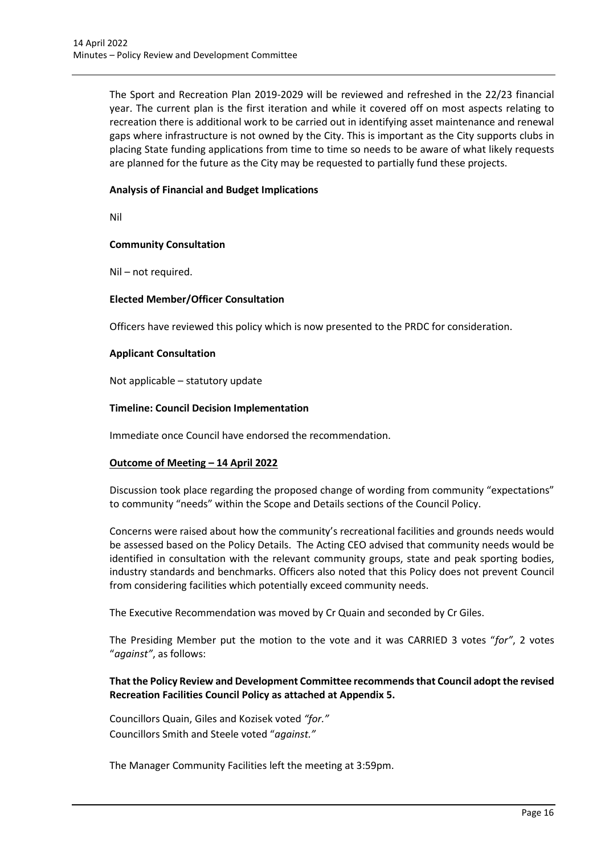The Sport and Recreation Plan 2019-2029 will be reviewed and refreshed in the 22/23 financial year. The current plan is the first iteration and while it covered off on most aspects relating to recreation there is additional work to be carried out in identifying asset maintenance and renewal gaps where infrastructure is not owned by the City. This is important as the City supports clubs in placing State funding applications from time to time so needs to be aware of what likely requests are planned for the future as the City may be requested to partially fund these projects.

# **Analysis of Financial and Budget Implications**

Nil

# **Community Consultation**

Nil – not required.

# **Elected Member/Officer Consultation**

Officers have reviewed this policy which is now presented to the PRDC for consideration.

# **Applicant Consultation**

Not applicable – statutory update

# **Timeline: Council Decision Implementation**

Immediate once Council have endorsed the recommendation.

# **Outcome of Meeting – 14 April 2022**

Discussion took place regarding the proposed change of wording from community "expectations" to community "needs" within the Scope and Details sections of the Council Policy.

Concerns were raised about how the community's recreational facilities and grounds needs would be assessed based on the Policy Details. The Acting CEO advised that community needs would be identified in consultation with the relevant community groups, state and peak sporting bodies, industry standards and benchmarks. Officers also noted that this Policy does not prevent Council from considering facilities which potentially exceed community needs.

The Executive Recommendation was moved by Cr Quain and seconded by Cr Giles.

The Presiding Member put the motion to the vote and it was CARRIED 3 votes "*for"*, 2 votes "*against"*, as follows:

# **That the Policy Review and Development Committee recommends that Council adopt the revised Recreation Facilities Council Policy as attached at Appendix 5.**

Councillors Quain, Giles and Kozisek voted *"for."*  Councillors Smith and Steele voted "*against."*

The Manager Community Facilities left the meeting at 3:59pm.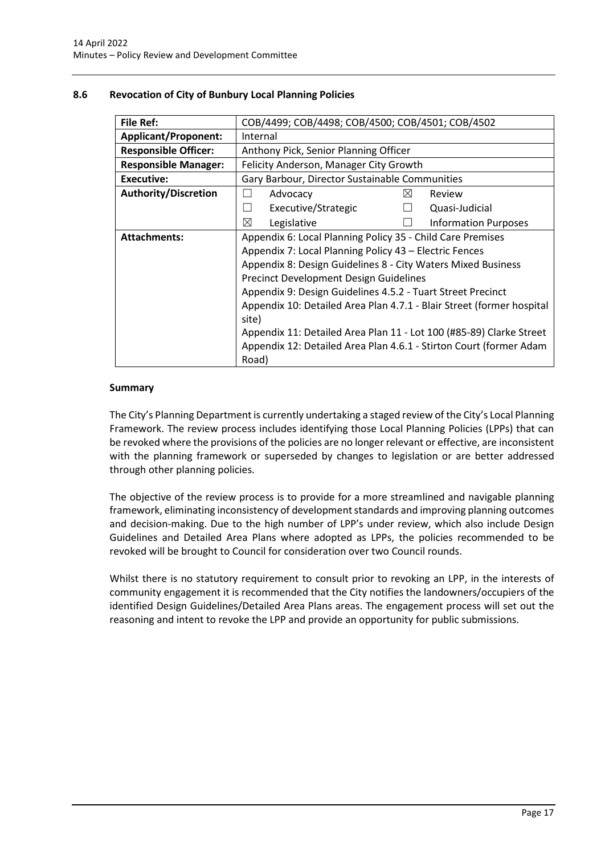| <b>File Ref:</b>            |                                                                       | COB/4499; COB/4498; COB/4500; COB/4501; COB/4502 |           |                                                                     |
|-----------------------------|-----------------------------------------------------------------------|--------------------------------------------------|-----------|---------------------------------------------------------------------|
| <b>Applicant/Proponent:</b> |                                                                       | Internal                                         |           |                                                                     |
| <b>Responsible Officer:</b> |                                                                       | Anthony Pick, Senior Planning Officer            |           |                                                                     |
| <b>Responsible Manager:</b> |                                                                       | Felicity Anderson, Manager City Growth           |           |                                                                     |
| Executive:                  |                                                                       | Gary Barbour, Director Sustainable Communities   |           |                                                                     |
| <b>Authority/Discretion</b> |                                                                       | Advocacy                                         | $\bowtie$ | Review                                                              |
|                             | $\perp$                                                               | Executive/Strategic                              |           | Quasi-Judicial                                                      |
|                             | ⊠                                                                     | Legislative                                      |           | <b>Information Purposes</b>                                         |
| <b>Attachments:</b>         | Appendix 6: Local Planning Policy 35 - Child Care Premises            |                                                  |           |                                                                     |
|                             | Appendix 7: Local Planning Policy 43 - Electric Fences                |                                                  |           |                                                                     |
|                             | Appendix 8: Design Guidelines 8 - City Waters Mixed Business          |                                                  |           |                                                                     |
|                             | <b>Precinct Development Design Guidelines</b>                         |                                                  |           |                                                                     |
|                             | Appendix 9: Design Guidelines 4.5.2 - Tuart Street Precinct           |                                                  |           |                                                                     |
|                             | Appendix 10: Detailed Area Plan 4.7.1 - Blair Street (former hospital |                                                  |           |                                                                     |
|                             | site)                                                                 |                                                  |           |                                                                     |
|                             |                                                                       |                                                  |           | Appendix 11: Detailed Area Plan 11 - Lot 100 (#85-89) Clarke Street |
|                             |                                                                       |                                                  |           | Appendix 12: Detailed Area Plan 4.6.1 - Stirton Court (former Adam  |
|                             | Road)                                                                 |                                                  |           |                                                                     |

# <span id="page-17-0"></span>**8.6 Revocation of City of Bunbury Local Planning Policies**

# **Summary**

The City's Planning Department is currently undertaking a staged review of the City's Local Planning Framework. The review process includes identifying those Local Planning Policies (LPPs) that can be revoked where the provisions of the policies are no longer relevant or effective, are inconsistent with the planning framework or superseded by changes to legislation or are better addressed through other planning policies.

The objective of the review process is to provide for a more streamlined and navigable planning framework, eliminating inconsistency of development standards and improving planning outcomes and decision-making. Due to the high number of LPP's under review, which also include Design Guidelines and Detailed Area Plans where adopted as LPPs, the policies recommended to be revoked will be brought to Council for consideration over two Council rounds.

Whilst there is no statutory requirement to consult prior to revoking an LPP, in the interests of community engagement it is recommended that the City notifies the landowners/occupiers of the identified Design Guidelines/Detailed Area Plans areas. The engagement process will set out the reasoning and intent to revoke the LPP and provide an opportunity for public submissions.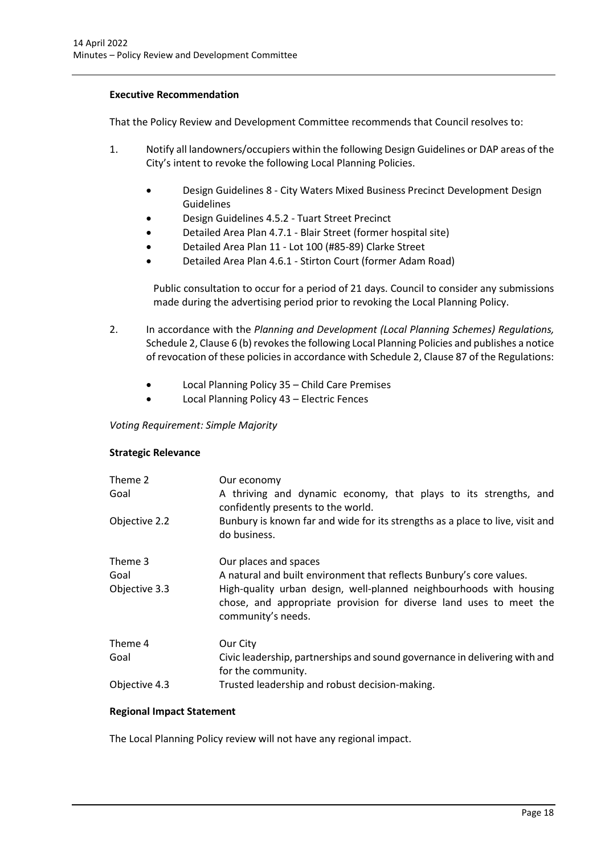# **Executive Recommendation**

That the Policy Review and Development Committee recommends that Council resolves to:

- 1. Notify all landowners/occupiers within the following Design Guidelines or DAP areas of the City's intent to revoke the following Local Planning Policies.
	- Design Guidelines 8 City Waters Mixed Business Precinct Development Design **Guidelines**
	- Design Guidelines 4.5.2 Tuart Street Precinct
	- Detailed Area Plan 4.7.1 Blair Street (former hospital site)
	- Detailed Area Plan 11 Lot 100 (#85-89) Clarke Street
	- Detailed Area Plan 4.6.1 Stirton Court (former Adam Road)

Public consultation to occur for a period of 21 days. Council to consider any submissions made during the advertising period prior to revoking the Local Planning Policy.

- 2. In accordance with the *Planning and Development (Local Planning Schemes) Regulations,*  Schedule 2, Clause 6 (b) revokes the following Local Planning Policies and publishes a notice of revocation of these policies in accordance with Schedule 2, Clause 87 of the Regulations:
	- Local Planning Policy 35 Child Care Premises
	- Local Planning Policy 43 Electric Fences

*Voting Requirement: Simple Majority* 

# **Strategic Relevance**

| Theme 2<br>Goal | Our economy<br>A thriving and dynamic economy, that plays to its strengths, and<br>confidently presents to the world.                                           |
|-----------------|-----------------------------------------------------------------------------------------------------------------------------------------------------------------|
| Objective 2.2   | Bunbury is known far and wide for its strengths as a place to live, visit and<br>do business.                                                                   |
| Theme 3         | Our places and spaces                                                                                                                                           |
| Goal            | A natural and built environment that reflects Bunbury's core values.                                                                                            |
| Objective 3.3   | High-quality urban design, well-planned neighbourhoods with housing<br>chose, and appropriate provision for diverse land uses to meet the<br>community's needs. |
| Theme 4         | Our City                                                                                                                                                        |
| Goal            | Civic leadership, partnerships and sound governance in delivering with and<br>for the community.                                                                |
| Objective 4.3   | Trusted leadership and robust decision-making.                                                                                                                  |

# **Regional Impact Statement**

The Local Planning Policy review will not have any regional impact.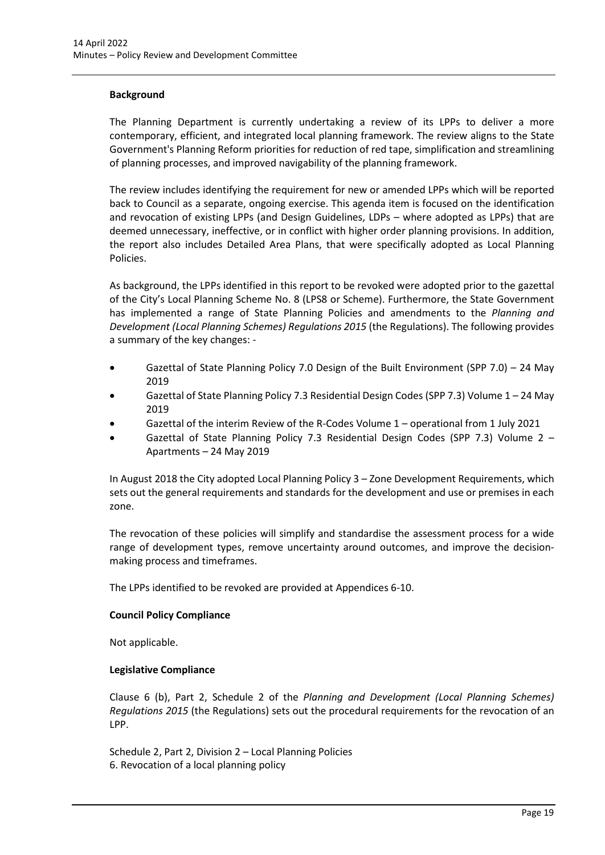# **Background**

The Planning Department is currently undertaking a review of its LPPs to deliver a more contemporary, efficient, and integrated local planning framework. The review aligns to the State Government's Planning Reform priorities for reduction of red tape, simplification and streamlining of planning processes, and improved navigability of the planning framework.

The review includes identifying the requirement for new or amended LPPs which will be reported back to Council as a separate, ongoing exercise. This agenda item is focused on the identification and revocation of existing LPPs (and Design Guidelines, LDPs – where adopted as LPPs) that are deemed unnecessary, ineffective, or in conflict with higher order planning provisions. In addition, the report also includes Detailed Area Plans, that were specifically adopted as Local Planning Policies.

As background, the LPPs identified in this report to be revoked were adopted prior to the gazettal of the City's Local Planning Scheme No. 8 (LPS8 or Scheme). Furthermore, the State Government has implemented a range of State Planning Policies and amendments to the *Planning and Development (Local Planning Schemes) Regulations 2015* (the Regulations). The following provides a summary of the key changes: -

- Gazettal of State Planning Policy 7.0 Design of the Built Environment (SPP 7.0) 24 May 2019
- Gazettal of State Planning Policy 7.3 Residential Design Codes (SPP 7.3) Volume 1 24 May 2019
- Gazettal of the interim Review of the R-Codes Volume 1 operational from 1 July 2021
- Gazettal of State Planning Policy 7.3 Residential Design Codes (SPP 7.3) Volume 2 Apartments – 24 May 2019

In August 2018 the City adopted Local Planning Policy 3 – Zone Development Requirements, which sets out the general requirements and standards for the development and use or premises in each zone.

The revocation of these policies will simplify and standardise the assessment process for a wide range of development types, remove uncertainty around outcomes, and improve the decisionmaking process and timeframes.

The LPPs identified to be revoked are provided at Appendices 6-10.

# **Council Policy Compliance**

Not applicable.

# **Legislative Compliance**

Clause 6 (b), Part 2, Schedule 2 of the *Planning and Development (Local Planning Schemes) Regulations 2015* (the Regulations) sets out the procedural requirements for the revocation of an LPP.

Schedule 2, Part 2, Division 2 – Local Planning Policies 6. Revocation of a local planning policy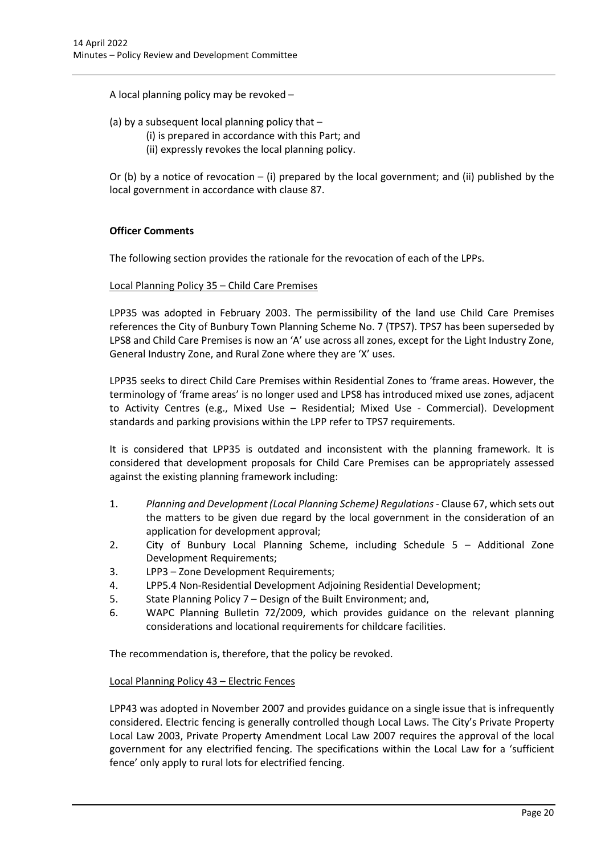A local planning policy may be revoked –

# (a) by a subsequent local planning policy that –

- (i) is prepared in accordance with this Part; and
- (ii) expressly revokes the local planning policy.

Or (b) by a notice of revocation – (i) prepared by the local government; and (ii) published by the local government in accordance with clause 87.

# **Officer Comments**

The following section provides the rationale for the revocation of each of the LPPs.

# Local Planning Policy 35 – Child Care Premises

LPP35 was adopted in February 2003. The permissibility of the land use Child Care Premises references the City of Bunbury Town Planning Scheme No. 7 (TPS7). TPS7 has been superseded by LPS8 and Child Care Premises is now an 'A' use across all zones, except for the Light Industry Zone, General Industry Zone, and Rural Zone where they are 'X' uses.

LPP35 seeks to direct Child Care Premises within Residential Zones to 'frame areas. However, the terminology of 'frame areas' is no longer used and LPS8 has introduced mixed use zones, adjacent to Activity Centres (e.g., Mixed Use – Residential; Mixed Use - Commercial). Development standards and parking provisions within the LPP refer to TPS7 requirements.

It is considered that LPP35 is outdated and inconsistent with the planning framework. It is considered that development proposals for Child Care Premises can be appropriately assessed against the existing planning framework including:

- 1. *Planning and Development (Local Planning Scheme) Regulations* Clause 67, which sets out the matters to be given due regard by the local government in the consideration of an application for development approval;
- 2. City of Bunbury Local Planning Scheme, including Schedule 5 Additional Zone Development Requirements;
- 3. LPP3 Zone Development Requirements;
- 4. LPP5.4 Non-Residential Development Adjoining Residential Development;
- 5. State Planning Policy 7 Design of the Built Environment; and,
- 6. WAPC Planning Bulletin 72/2009, which provides guidance on the relevant planning considerations and locational requirements for childcare facilities.

The recommendation is, therefore, that the policy be revoked.

# Local Planning Policy 43 – Electric Fences

LPP43 was adopted in November 2007 and provides guidance on a single issue that is infrequently considered. Electric fencing is generally controlled though Local Laws. The City's Private Property Local Law 2003, Private Property Amendment Local Law 2007 requires the approval of the local government for any electrified fencing. The specifications within the Local Law for a 'sufficient fence' only apply to rural lots for electrified fencing.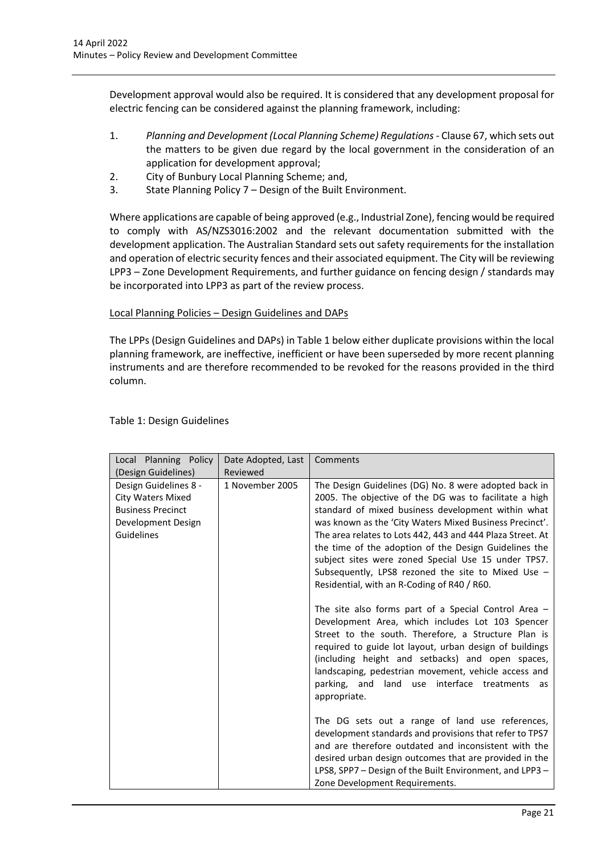Development approval would also be required. It is considered that any development proposal for electric fencing can be considered against the planning framework, including:

- 1. *Planning and Development (Local Planning Scheme) Regulations* Clause 67, which sets out the matters to be given due regard by the local government in the consideration of an application for development approval;
- 2. City of Bunbury Local Planning Scheme; and,
- 3. State Planning Policy 7 Design of the Built Environment.

Where applications are capable of being approved (e.g., Industrial Zone), fencing would be required to comply with AS/NZS3016:2002 and the relevant documentation submitted with the development application. The Australian Standard sets out safety requirements for the installation and operation of electric security fences and their associated equipment. The City will be reviewing LPP3 – Zone Development Requirements, and further guidance on fencing design / standards may be incorporated into LPP3 as part of the review process.

# Local Planning Policies – Design Guidelines and DAPs

The LPPs (Design Guidelines and DAPs) in Table 1 below either duplicate provisions within the local planning framework, are ineffective, inefficient or have been superseded by more recent planning instruments and are therefore recommended to be revoked for the reasons provided in the third column.

| Local Planning Policy<br>(Design Guidelines)                                                                      | Date Adopted, Last<br>Reviewed | Comments                                                                                                                                                                                                                                                                                                                                                                                                                                                                                                                                                                                                                          |  |
|-------------------------------------------------------------------------------------------------------------------|--------------------------------|-----------------------------------------------------------------------------------------------------------------------------------------------------------------------------------------------------------------------------------------------------------------------------------------------------------------------------------------------------------------------------------------------------------------------------------------------------------------------------------------------------------------------------------------------------------------------------------------------------------------------------------|--|
| Design Guidelines 8 -<br><b>City Waters Mixed</b><br><b>Business Precinct</b><br>Development Design<br>Guidelines | 1 November 2005                | The Design Guidelines (DG) No. 8 were adopted back in<br>2005. The objective of the DG was to facilitate a high<br>standard of mixed business development within what<br>was known as the 'City Waters Mixed Business Precinct'.<br>The area relates to Lots 442, 443 and 444 Plaza Street. At<br>the time of the adoption of the Design Guidelines the<br>subject sites were zoned Special Use 15 under TPS7.<br>Subsequently, LPS8 rezoned the site to Mixed Use -<br>Residential, with an R-Coding of R40 / R60.<br>The site also forms part of a Special Control Area $-$<br>Development Area, which includes Lot 103 Spencer |  |
|                                                                                                                   |                                | Street to the south. Therefore, a Structure Plan is<br>required to guide lot layout, urban design of buildings<br>(including height and setbacks) and open spaces,<br>landscaping, pedestrian movement, vehicle access and<br>interface treatments as<br>parking, and<br>land use<br>appropriate.                                                                                                                                                                                                                                                                                                                                 |  |
|                                                                                                                   |                                | The DG sets out a range of land use references,<br>development standards and provisions that refer to TPS7<br>and are therefore outdated and inconsistent with the<br>desired urban design outcomes that are provided in the<br>LPS8, SPP7 - Design of the Built Environment, and LPP3 -<br>Zone Development Requirements.                                                                                                                                                                                                                                                                                                        |  |

#### Table 1: Design Guidelines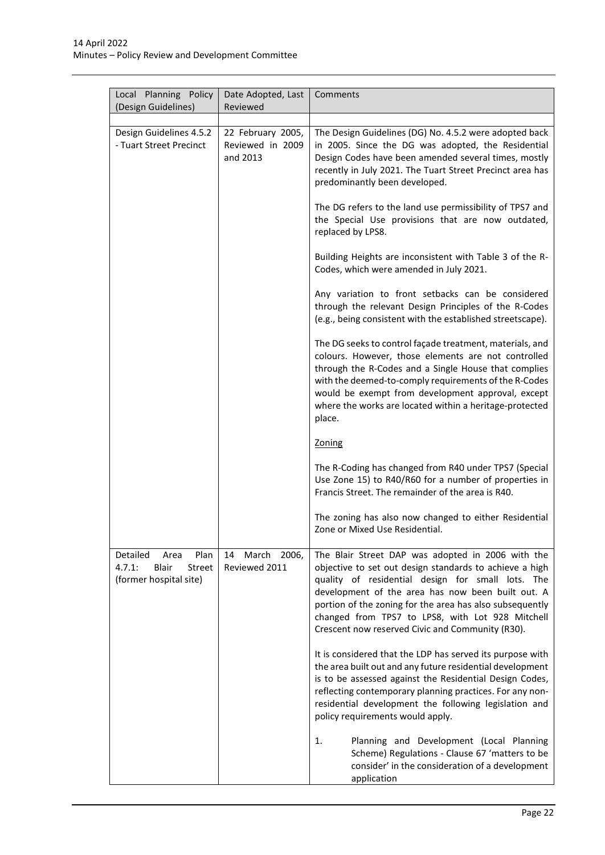| Local Planning Policy<br>(Design Guidelines)                                           | Date Adopted, Last<br>Reviewed                    | Comments                                                                                                                                                                                                                                                                                                                                                                                   |
|----------------------------------------------------------------------------------------|---------------------------------------------------|--------------------------------------------------------------------------------------------------------------------------------------------------------------------------------------------------------------------------------------------------------------------------------------------------------------------------------------------------------------------------------------------|
|                                                                                        |                                                   |                                                                                                                                                                                                                                                                                                                                                                                            |
| Design Guidelines 4.5.2<br>- Tuart Street Precinct                                     | 22 February 2005,<br>Reviewed in 2009<br>and 2013 | The Design Guidelines (DG) No. 4.5.2 were adopted back<br>in 2005. Since the DG was adopted, the Residential<br>Design Codes have been amended several times, mostly<br>recently in July 2021. The Tuart Street Precinct area has<br>predominantly been developed.                                                                                                                         |
|                                                                                        |                                                   | The DG refers to the land use permissibility of TPS7 and<br>the Special Use provisions that are now outdated,<br>replaced by LPS8.                                                                                                                                                                                                                                                         |
|                                                                                        |                                                   | Building Heights are inconsistent with Table 3 of the R-<br>Codes, which were amended in July 2021.                                                                                                                                                                                                                                                                                        |
|                                                                                        |                                                   | Any variation to front setbacks can be considered<br>through the relevant Design Principles of the R-Codes<br>(e.g., being consistent with the established streetscape).                                                                                                                                                                                                                   |
|                                                                                        |                                                   | The DG seeks to control façade treatment, materials, and<br>colours. However, those elements are not controlled<br>through the R-Codes and a Single House that complies<br>with the deemed-to-comply requirements of the R-Codes<br>would be exempt from development approval, except<br>where the works are located within a heritage-protected<br>place.                                 |
|                                                                                        |                                                   | Zoning                                                                                                                                                                                                                                                                                                                                                                                     |
|                                                                                        |                                                   | The R-Coding has changed from R40 under TPS7 (Special<br>Use Zone 15) to R40/R60 for a number of properties in<br>Francis Street. The remainder of the area is R40.                                                                                                                                                                                                                        |
|                                                                                        |                                                   | The zoning has also now changed to either Residential<br>Zone or Mixed Use Residential.                                                                                                                                                                                                                                                                                                    |
| Detailed<br>Plan<br>Area<br>4.7.1:<br><b>Blair</b><br>Street<br>(former hospital site) | 2006,<br>14<br>March<br>Reviewed 2011             | The Blair Street DAP was adopted in 2006 with the<br>objective to set out design standards to achieve a high<br>quality of residential design for small lots. The<br>development of the area has now been built out. A<br>portion of the zoning for the area has also subsequently<br>changed from TPS7 to LPS8, with Lot 928 Mitchell<br>Crescent now reserved Civic and Community (R30). |
|                                                                                        |                                                   | It is considered that the LDP has served its purpose with<br>the area built out and any future residential development<br>is to be assessed against the Residential Design Codes,<br>reflecting contemporary planning practices. For any non-<br>residential development the following legislation and<br>policy requirements would apply.                                                 |
|                                                                                        |                                                   | 1.<br>Planning and Development (Local Planning<br>Scheme) Regulations - Clause 67 'matters to be<br>consider' in the consideration of a development<br>application                                                                                                                                                                                                                         |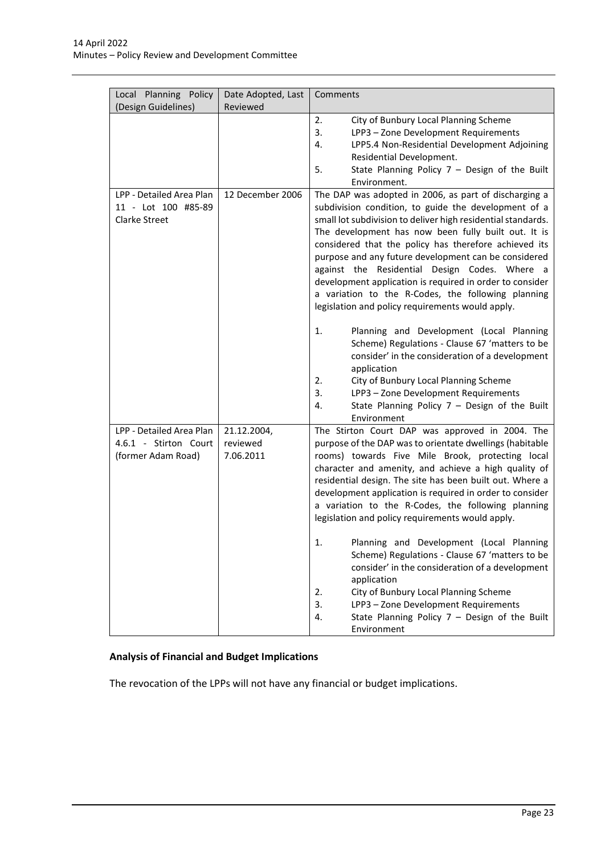| Local Planning Policy                                                   | Date Adopted, Last                   | Comments                                                                                                                                                                                                                                                                                                                                                                                                                                                                                                                                                                                                                                                                                                                                                                                                                                                                                                 |
|-------------------------------------------------------------------------|--------------------------------------|----------------------------------------------------------------------------------------------------------------------------------------------------------------------------------------------------------------------------------------------------------------------------------------------------------------------------------------------------------------------------------------------------------------------------------------------------------------------------------------------------------------------------------------------------------------------------------------------------------------------------------------------------------------------------------------------------------------------------------------------------------------------------------------------------------------------------------------------------------------------------------------------------------|
| (Design Guidelines)                                                     | Reviewed                             |                                                                                                                                                                                                                                                                                                                                                                                                                                                                                                                                                                                                                                                                                                                                                                                                                                                                                                          |
|                                                                         |                                      | 2.<br>City of Bunbury Local Planning Scheme<br>3.<br>LPP3-Zone Development Requirements<br>LPP5.4 Non-Residential Development Adjoining<br>4.<br>Residential Development.<br>5.<br>State Planning Policy $7 -$ Design of the Built<br>Environment.                                                                                                                                                                                                                                                                                                                                                                                                                                                                                                                                                                                                                                                       |
| LPP - Detailed Area Plan<br>11 - Lot 100 #85-89<br><b>Clarke Street</b> | 12 December 2006                     | The DAP was adopted in 2006, as part of discharging a<br>subdivision condition, to guide the development of a<br>small lot subdivision to deliver high residential standards.<br>The development has now been fully built out. It is<br>considered that the policy has therefore achieved its<br>purpose and any future development can be considered<br>against the Residential Design Codes. Where a<br>development application is required in order to consider<br>a variation to the R-Codes, the following planning<br>legislation and policy requirements would apply.<br>1.<br>Planning and Development (Local Planning<br>Scheme) Regulations - Clause 67 'matters to be<br>consider' in the consideration of a development<br>application<br>2.<br>City of Bunbury Local Planning Scheme<br>3.<br>LPP3 - Zone Development Requirements<br>State Planning Policy $7 -$ Design of the Built<br>4. |
| LPP - Detailed Area Plan<br>4.6.1 - Stirton Court<br>(former Adam Road) | 21.12.2004,<br>reviewed<br>7.06.2011 | Environment<br>The Stirton Court DAP was approved in 2004. The<br>purpose of the DAP was to orientate dwellings (habitable<br>rooms) towards Five Mile Brook, protecting local<br>character and amenity, and achieve a high quality of<br>residential design. The site has been built out. Where a<br>development application is required in order to consider<br>a variation to the R-Codes, the following planning<br>legislation and policy requirements would apply.<br>1.<br>Planning and Development (Local Planning<br>Scheme) Regulations - Clause 67 'matters to be<br>consider' in the consideration of a development<br>application<br>City of Bunbury Local Planning Scheme<br>2.<br>LPP3 - Zone Development Requirements<br>3.<br>State Planning Policy $7 -$ Design of the Built<br>4.<br>Environment                                                                                      |

# **Analysis of Financial and Budget Implications**

The revocation of the LPPs will not have any financial or budget implications.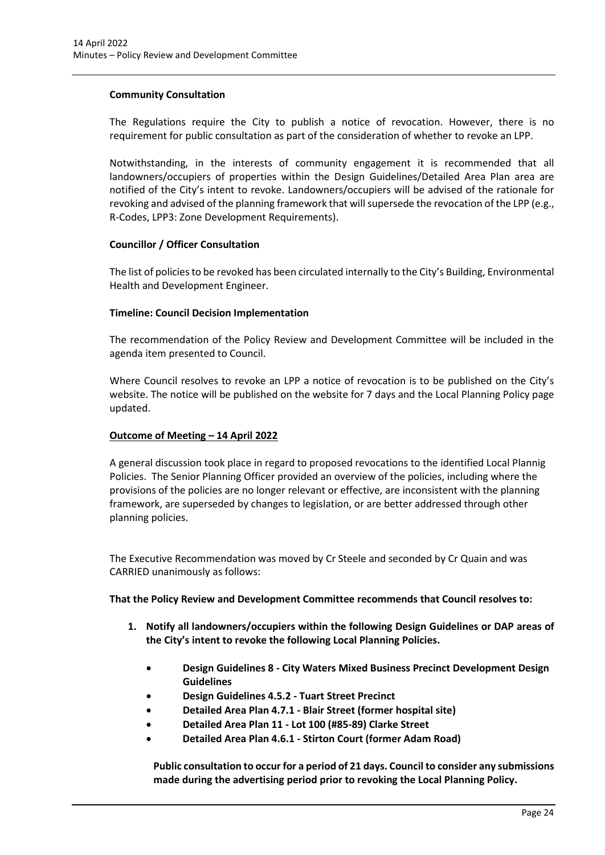# **Community Consultation**

The Regulations require the City to publish a notice of revocation. However, there is no requirement for public consultation as part of the consideration of whether to revoke an LPP.

Notwithstanding, in the interests of community engagement it is recommended that all landowners/occupiers of properties within the Design Guidelines/Detailed Area Plan area are notified of the City's intent to revoke. Landowners/occupiers will be advised of the rationale for revoking and advised of the planning framework that will supersede the revocation of the LPP (e.g., R-Codes, LPP3: Zone Development Requirements).

# **Councillor / Officer Consultation**

The list of policies to be revoked has been circulated internally to the City's Building, Environmental Health and Development Engineer.

# **Timeline: Council Decision Implementation**

The recommendation of the Policy Review and Development Committee will be included in the agenda item presented to Council.

Where Council resolves to revoke an LPP a notice of revocation is to be published on the City's website. The notice will be published on the website for 7 days and the Local Planning Policy page updated.

# **Outcome of Meeting – 14 April 2022**

A general discussion took place in regard to proposed revocations to the identified Local Plannig Policies. The Senior Planning Officer provided an overview of the policies, including where the provisions of the policies are no longer relevant or effective, are inconsistent with the planning framework, are superseded by changes to legislation, or are better addressed through other planning policies.

The Executive Recommendation was moved by Cr Steele and seconded by Cr Quain and was CARRIED unanimously as follows:

**That the Policy Review and Development Committee recommends that Council resolves to:**

- **1. Notify all landowners/occupiers within the following Design Guidelines or DAP areas of the City's intent to revoke the following Local Planning Policies.** 
	- **Design Guidelines 8 City Waters Mixed Business Precinct Development Design Guidelines**
	- **Design Guidelines 4.5.2 Tuart Street Precinct**
	- **Detailed Area Plan 4.7.1 Blair Street (former hospital site)**
	- **Detailed Area Plan 11 Lot 100 (#85-89) Clarke Street**
	- **Detailed Area Plan 4.6.1 Stirton Court (former Adam Road)**

**Public consultation to occur for a period of 21 days. Council to consider any submissions made during the advertising period prior to revoking the Local Planning Policy.**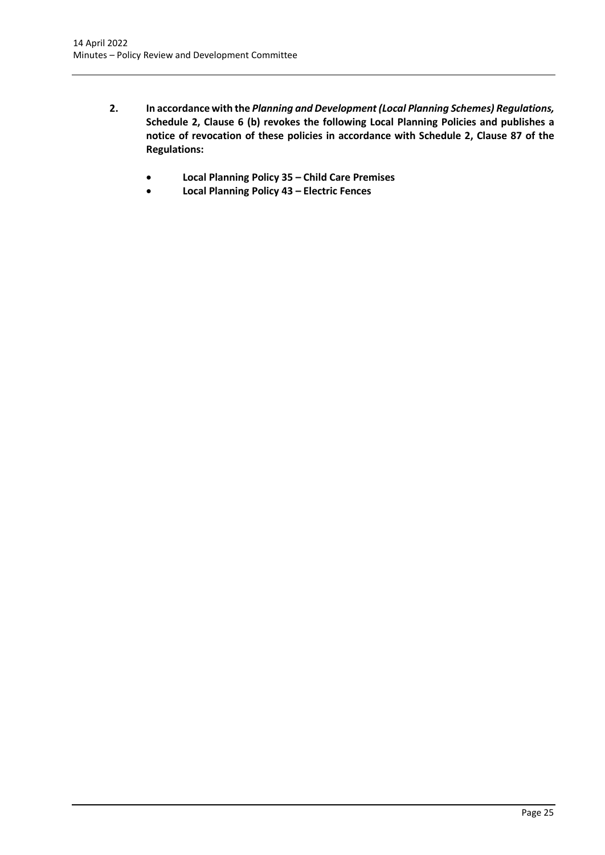- **2. In accordance with the** *Planning and Development (Local Planning Schemes) Regulations,*  **Schedule 2, Clause 6 (b) revokes the following Local Planning Policies and publishes a notice of revocation of these policies in accordance with Schedule 2, Clause 87 of the Regulations:**
	- **Local Planning Policy 35 – Child Care Premises**
	- **Local Planning Policy 43 – Electric Fences**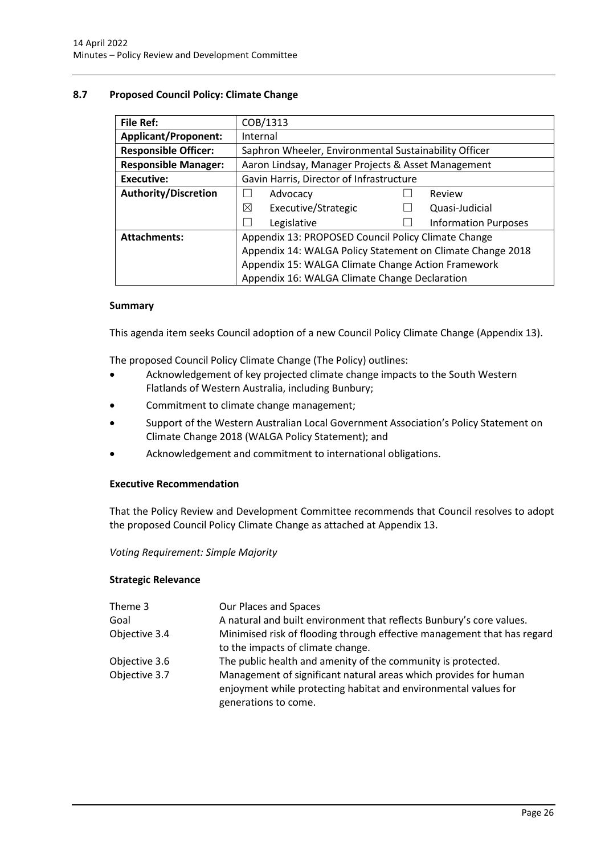# <span id="page-26-0"></span>**8.7 Proposed Council Policy: Climate Change**

| <b>File Ref:</b>            | COB/1313                                                   |  |                             |  |
|-----------------------------|------------------------------------------------------------|--|-----------------------------|--|
| <b>Applicant/Proponent:</b> | Internal                                                   |  |                             |  |
| <b>Responsible Officer:</b> | Saphron Wheeler, Environmental Sustainability Officer      |  |                             |  |
| <b>Responsible Manager:</b> | Aaron Lindsay, Manager Projects & Asset Management         |  |                             |  |
| <b>Executive:</b>           | Gavin Harris, Director of Infrastructure                   |  |                             |  |
| <b>Authority/Discretion</b> | Advocacy                                                   |  | Review                      |  |
|                             | ⊠<br>Executive/Strategic                                   |  | Quasi-Judicial              |  |
|                             | Legislative                                                |  | <b>Information Purposes</b> |  |
| <b>Attachments:</b>         | Appendix 13: PROPOSED Council Policy Climate Change        |  |                             |  |
|                             | Appendix 14: WALGA Policy Statement on Climate Change 2018 |  |                             |  |
|                             | Appendix 15: WALGA Climate Change Action Framework         |  |                             |  |
|                             | Appendix 16: WALGA Climate Change Declaration              |  |                             |  |

# **Summary**

This agenda item seeks Council adoption of a new Council Policy Climate Change (Appendix 13).

The proposed Council Policy Climate Change (The Policy) outlines:

- Acknowledgement of key projected climate change impacts to the South Western Flatlands of Western Australia, including Bunbury;
- Commitment to climate change management;
- Support of the Western Australian Local Government Association's Policy Statement on Climate Change 2018 (WALGA Policy Statement); and
- Acknowledgement and commitment to international obligations.

# **Executive Recommendation**

That the Policy Review and Development Committee recommends that Council resolves to adopt the proposed Council Policy Climate Change as attached at Appendix 13.

# *Voting Requirement: Simple Majority*

# **Strategic Relevance**

| Theme 3       | Our Places and Spaces                                                                                                                                       |
|---------------|-------------------------------------------------------------------------------------------------------------------------------------------------------------|
| Goal          | A natural and built environment that reflects Bunbury's core values.                                                                                        |
| Objective 3.4 | Minimised risk of flooding through effective management that has regard                                                                                     |
|               | to the impacts of climate change.                                                                                                                           |
| Objective 3.6 | The public health and amenity of the community is protected.                                                                                                |
| Objective 3.7 | Management of significant natural areas which provides for human<br>enjoyment while protecting habitat and environmental values for<br>generations to come. |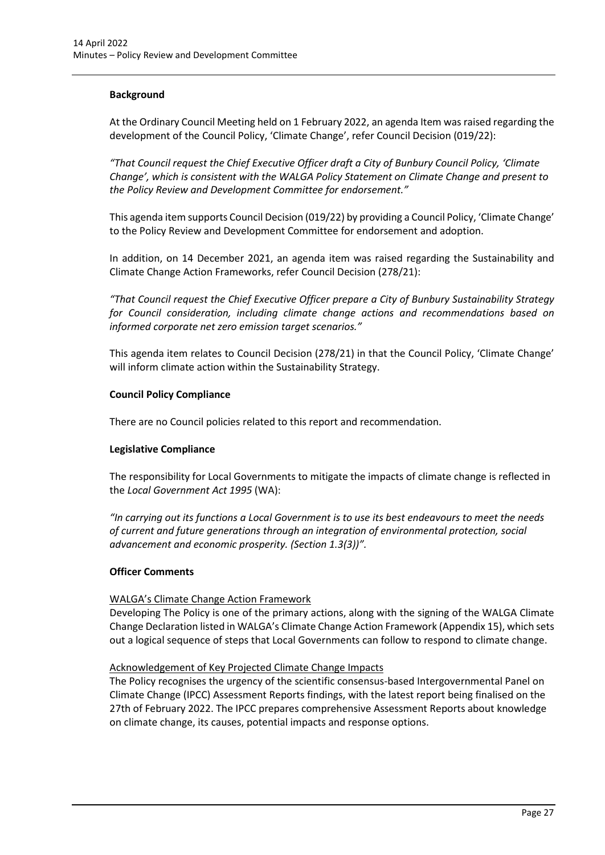# **Background**

At the Ordinary Council Meeting held on 1 February 2022, an agenda Item was raised regarding the development of the Council Policy, 'Climate Change', refer Council Decision (019/22):

*"That Council request the Chief Executive Officer draft a City of Bunbury Council Policy, 'Climate Change', which is consistent with the WALGA Policy Statement on Climate Change and present to the Policy Review and Development Committee for endorsement."* 

This agenda item supports Council Decision (019/22) by providing a Council Policy, 'Climate Change' to the Policy Review and Development Committee for endorsement and adoption.

In addition, on 14 December 2021, an agenda item was raised regarding the Sustainability and Climate Change Action Frameworks, refer Council Decision (278/21):

*"That Council request the Chief Executive Officer prepare a City of Bunbury Sustainability Strategy for Council consideration, including climate change actions and recommendations based on informed corporate net zero emission target scenarios."* 

This agenda item relates to Council Decision (278/21) in that the Council Policy, 'Climate Change' will inform climate action within the Sustainability Strategy.

# **Council Policy Compliance**

There are no Council policies related to this report and recommendation.

# **Legislative Compliance**

The responsibility for Local Governments to mitigate the impacts of climate change is reflected in the *Local Government Act 1995* (WA):

*"In carrying out its functions a Local Government is to use its best endeavours to meet the needs of current and future generations through an integration of environmental protection, social advancement and economic prosperity. (Section 1.3(3))".*

# **Officer Comments**

# WALGA's Climate Change Action Framework

Developing The Policy is one of the primary actions, along with the signing of the WALGA Climate Change Declaration listed in WALGA's Climate Change Action Framework (Appendix 15), which sets out a logical sequence of steps that Local Governments can follow to respond to climate change.

# Acknowledgement of Key Projected Climate Change Impacts

The Policy recognises the urgency of the scientific consensus-based Intergovernmental Panel on Climate Change (IPCC) Assessment Reports findings, with the latest report being finalised on the 27th of February 2022. The IPCC prepares comprehensive Assessment Reports about knowledge on climate change, its causes, potential impacts and response options.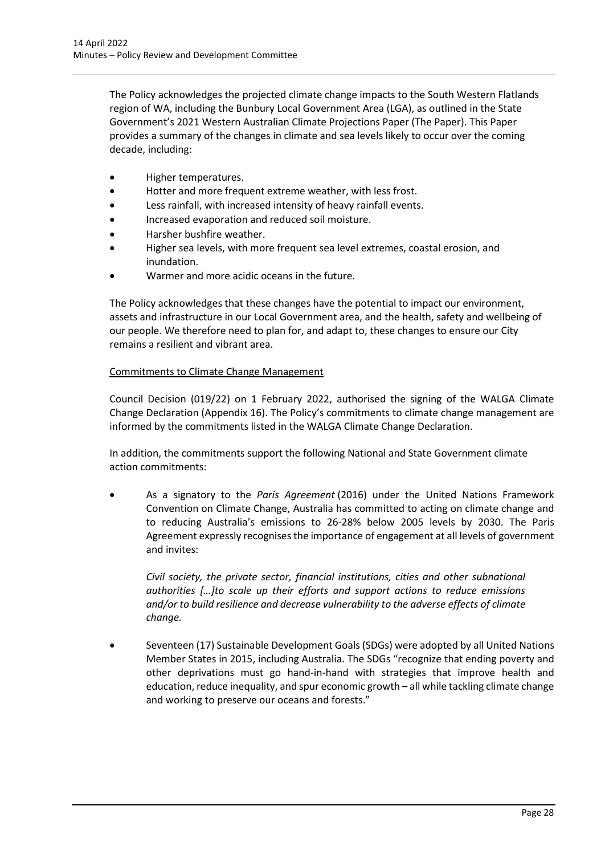The Policy acknowledges the projected climate change impacts to the South Western Flatlands region of WA, including the Bunbury Local Government Area (LGA), as outlined in the State Government's 2021 Western Australia[n Climate Projections Paper](https://mcusercontent.com/deaf6c84b27d6ba4ab394cdf0/files/c840e395-91fc-5d3b-7ad1-7f1bda687884/Western_Australian_Climate_Projections_Summary.pdf) (The Paper). This Paper provides a summary of the changes in climate and sea levels likely to occur over the coming decade, including:

- Higher temperatures.
- Hotter and more frequent extreme weather, with less frost.
- Less rainfall, with increased intensity of heavy rainfall events.
- Increased evaporation and reduced soil moisture.
- Harsher bushfire weather.
- Higher sea levels, with more frequent sea level extremes, coastal erosion, and inundation.
- Warmer and more acidic oceans in the future.

The Policy acknowledges that these changes have the potential to impact our environment, assets and infrastructure in our Local Government area, and the health, safety and wellbeing of our people. We therefore need to plan for, and adapt to, these changes to ensure our City remains a resilient and vibrant area.

# Commitments to Climate Change Management

Council Decision (019/22) on 1 February 2022, authorised the signing of the WALGA Climate Change Declaration (Appendix 16). The Policy's commitments to climate change management are informed by the commitments listed in the WALGA Climate Change Declaration.

In addition, the commitments support the following National and State Government climate action commitments:

• As a signatory to the *Paris Agreement* (2016) under the United Nations Framework Convention on Climate Change, Australia has committed to acting on climate change and to reducing Australia's emissions to 26-28% below 2005 levels by 2030. The Paris Agreement expressly recognises the importance of engagement at all levels of government and invites:

*Civil society, the private sector, financial institutions, cities and other subnational authorities […]to scale up their efforts and support actions to reduce emissions and/or to build resilience and decrease vulnerability to the adverse effects of climate change.*

• Seventeen (17) Sustainable Development Goals (SDGs) were adopted by all United Nations Member States in 2015, including Australia. The SDGs "recognize that ending poverty and other deprivations must go hand-in-hand with strategies that improve health and education, reduce inequality, and spur economic growth – all while tackling climate change and working to preserve our oceans and forests."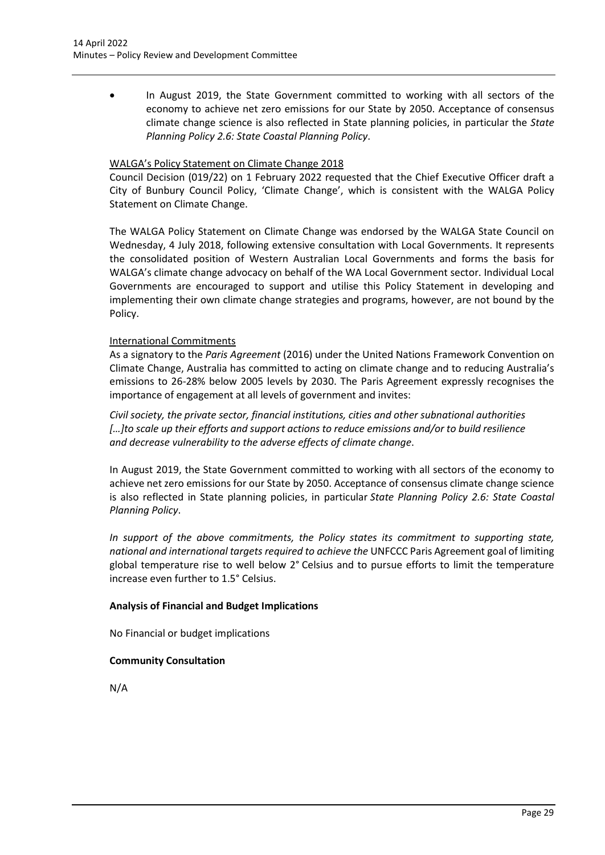• In August 2019, the State Government committed to working with all sectors of the economy to achieve net zero emissions for our State by 2050. Acceptance of consensus climate change science is also reflected in State planning policies, in particular the *State Planning Policy 2.6: State Coastal Planning Policy*.

# WALGA's Policy Statement on Climate Change 2018

Council Decision (019/22) on 1 February 2022 requested that the Chief Executive Officer draft a City of Bunbury Council Policy, 'Climate Change', which is consistent with the WALGA Policy Statement on Climate Change.

The WALGA Policy Statement on Climate Change was endorsed by the WALGA State Council on Wednesday, 4 July 2018, following extensive consultation with Local Governments. It represents the consolidated position of Western Australian Local Governments and forms the basis for WALGA's climate change advocacy on behalf of the WA Local Government sector. Individual Local Governments are encouraged to support and utilise this Policy Statement in developing and implementing their own climate change strategies and programs, however, are not bound by the Policy.

# International Commitments

As a signatory to the *Paris Agreement* (2016) under the United Nations Framework Convention on Climate Change, Australia has committed to acting on climate change and to reducing Australia's emissions to 26-28% below 2005 levels by 2030. The Paris Agreement expressly recognises the importance of engagement at all levels of government and invites:

*Civil society, the private sector, financial institutions, cities and other subnational authorities […]to scale up their efforts and support actions to reduce emissions and/or to build resilience and decrease vulnerability to the adverse effects of climate change*.

In August 2019, the State Government committed to working with all sectors of the economy to achieve net zero emissions for our State by 2050. Acceptance of consensus climate change science is also reflected in State planning policies, in particular *State Planning Policy 2.6: State Coastal Planning Policy*.

*In support of the above commitments, the Policy states its commitment to supporting state, national and international targets required to achieve the* UNFCCC Paris Agreement goal of limiting global temperature rise to well below 2° Celsius and to pursue efforts to limit the temperature increase even further to 1.5° Celsius.

# **Analysis of Financial and Budget Implications**

No Financial or budget implications

# **Community Consultation**

N/A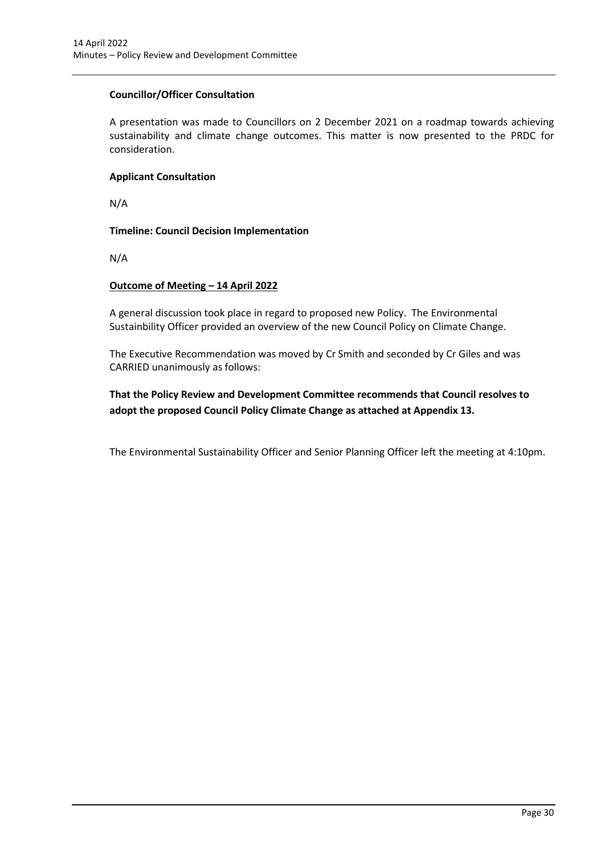# **Councillor/Officer Consultation**

A presentation was made to Councillors on 2 December 2021 on a roadmap towards achieving sustainability and climate change outcomes. This matter is now presented to the PRDC for consideration.

# **Applicant Consultation**

N/A

**Timeline: Council Decision Implementation**

N/A

# **Outcome of Meeting – 14 April 2022**

A general discussion took place in regard to proposed new Policy. The Environmental Sustainbility Officer provided an overview of the new Council Policy on Climate Change.

The Executive Recommendation was moved by Cr Smith and seconded by Cr Giles and was CARRIED unanimously as follows:

**That the Policy Review and Development Committee recommends that Council resolves to adopt the proposed Council Policy Climate Change as attached at Appendix 13.**

The Environmental Sustainability Officer and Senior Planning Officer left the meeting at 4:10pm.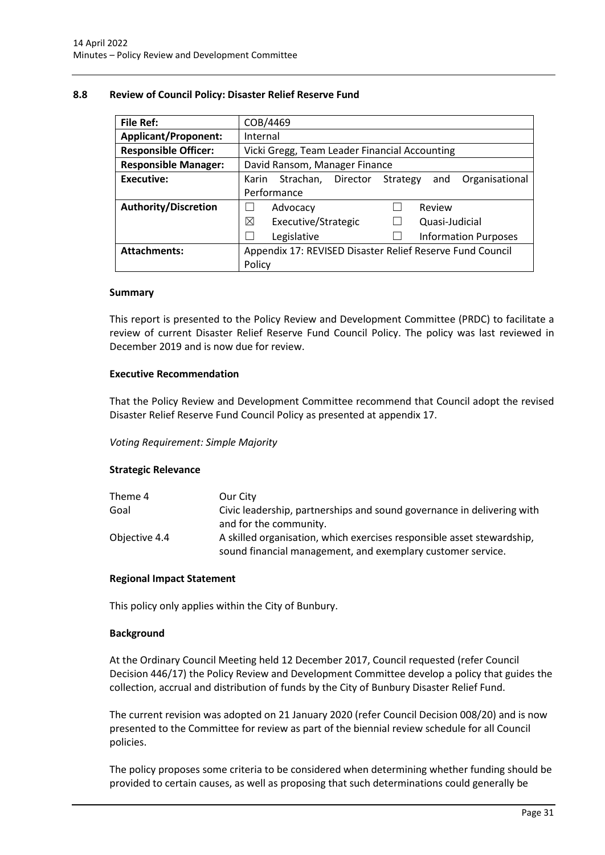# <span id="page-31-0"></span>**8.8 Review of Council Policy: Disaster Relief Reserve Fund**

| <b>File Ref:</b>            | COB/4469                                                            |  |  |
|-----------------------------|---------------------------------------------------------------------|--|--|
| <b>Applicant/Proponent:</b> | Internal                                                            |  |  |
| <b>Responsible Officer:</b> | Vicki Gregg, Team Leader Financial Accounting                       |  |  |
| <b>Responsible Manager:</b> | David Ransom, Manager Finance                                       |  |  |
| <b>Executive:</b>           | Organisational<br>Strachan,<br>Director<br>Strategy<br>and<br>Karin |  |  |
|                             | Performance                                                         |  |  |
| <b>Authority/Discretion</b> | Review<br>Advocacy                                                  |  |  |
|                             | ⊠<br>Executive/Strategic<br>Quasi-Judicial                          |  |  |
|                             | Legislative<br><b>Information Purposes</b>                          |  |  |
| <b>Attachments:</b>         | Appendix 17: REVISED Disaster Relief Reserve Fund Council           |  |  |
|                             | Policy                                                              |  |  |

#### **Summary**

This report is presented to the Policy Review and Development Committee (PRDC) to facilitate a review of current Disaster Relief Reserve Fund Council Policy. The policy was last reviewed in December 2019 and is now due for review.

# **Executive Recommendation**

That the Policy Review and Development Committee recommend that Council adopt the revised Disaster Relief Reserve Fund Council Policy as presented at appendix 17.

# *Voting Requirement: Simple Majority*

# **Strategic Relevance**

| Theme 4       | Our City                                                               |
|---------------|------------------------------------------------------------------------|
| Goal          | Civic leadership, partnerships and sound governance in delivering with |
|               | and for the community.                                                 |
| Objective 4.4 | A skilled organisation, which exercises responsible asset stewardship, |
|               | sound financial management, and exemplary customer service.            |

# **Regional Impact Statement**

This policy only applies within the City of Bunbury.

# **Background**

At the Ordinary Council Meeting held 12 December 2017, Council requested (refer Council Decision 446/17) the Policy Review and Development Committee develop a policy that guides the collection, accrual and distribution of funds by the City of Bunbury Disaster Relief Fund.

The current revision was adopted on 21 January 2020 (refer Council Decision 008/20) and is now presented to the Committee for review as part of the biennial review schedule for all Council policies.

The policy proposes some criteria to be considered when determining whether funding should be provided to certain causes, as well as proposing that such determinations could generally be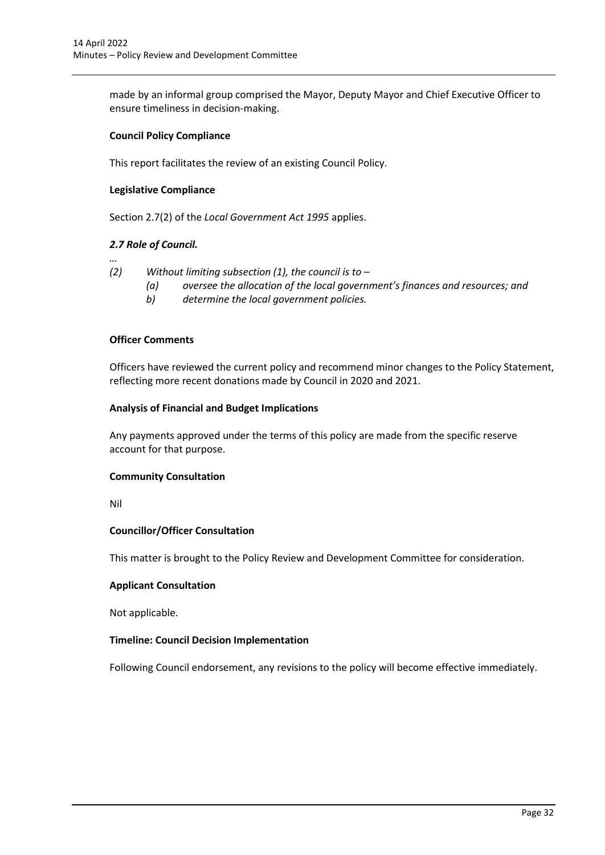made by an informal group comprised the Mayor, Deputy Mayor and Chief Executive Officer to ensure timeliness in decision-making.

# **Council Policy Compliance**

This report facilitates the review of an existing Council Policy.

# **Legislative Compliance**

Section 2.7(2) of the *Local Government Act 1995* applies.

# *2.7 Role of Council.*

- *… (2) Without limiting subsection (1), the council is to –*
	- *(a) oversee the allocation of the local government's finances and resources; and*
	- *b) determine the local government policies.*

# **Officer Comments**

Officers have reviewed the current policy and recommend minor changes to the Policy Statement, reflecting more recent donations made by Council in 2020 and 2021.

# **Analysis of Financial and Budget Implications**

Any payments approved under the terms of this policy are made from the specific reserve account for that purpose.

# **Community Consultation**

Nil

# **Councillor/Officer Consultation**

This matter is brought to the Policy Review and Development Committee for consideration.

# **Applicant Consultation**

Not applicable.

# **Timeline: Council Decision Implementation**

Following Council endorsement, any revisions to the policy will become effective immediately.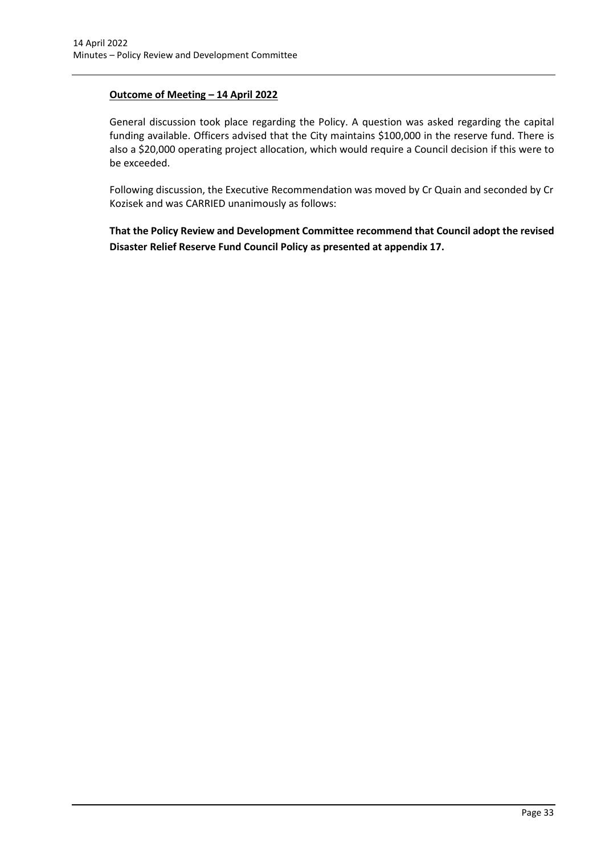# **Outcome of Meeting – 14 April 2022**

General discussion took place regarding the Policy. A question was asked regarding the capital funding available. Officers advised that the City maintains \$100,000 in the reserve fund. There is also a \$20,000 operating project allocation, which would require a Council decision if this were to be exceeded.

Following discussion, the Executive Recommendation was moved by Cr Quain and seconded by Cr Kozisek and was CARRIED unanimously as follows:

**That the Policy Review and Development Committee recommend that Council adopt the revised Disaster Relief Reserve Fund Council Policy as presented at appendix 17.**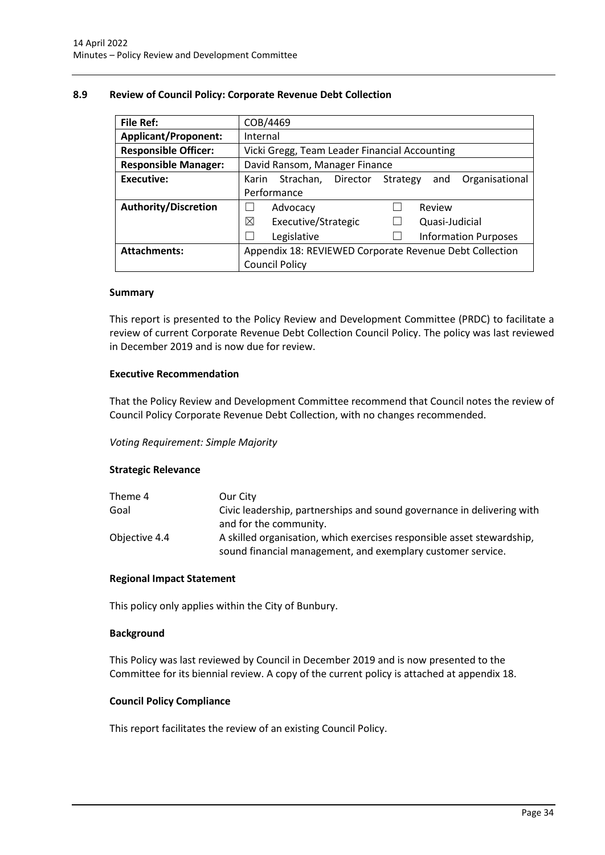# <span id="page-34-0"></span>**8.9 Review of Council Policy: Corporate Revenue Debt Collection**

| <b>File Ref:</b>            | COB/4469                                                            |  |  |
|-----------------------------|---------------------------------------------------------------------|--|--|
| <b>Applicant/Proponent:</b> | Internal                                                            |  |  |
| <b>Responsible Officer:</b> | Vicki Gregg, Team Leader Financial Accounting                       |  |  |
| <b>Responsible Manager:</b> | David Ransom, Manager Finance                                       |  |  |
| Executive:                  | Organisational<br>Director<br>Strachan,<br>Strategy<br>Karin<br>and |  |  |
|                             | Performance                                                         |  |  |
| <b>Authority/Discretion</b> | Review<br>Advocacy                                                  |  |  |
|                             | ⊠<br>Executive/Strategic<br>Quasi-Judicial                          |  |  |
|                             | Legislative<br><b>Information Purposes</b>                          |  |  |
| <b>Attachments:</b>         | Appendix 18: REVIEWED Corporate Revenue Debt Collection             |  |  |
|                             | <b>Council Policy</b>                                               |  |  |

#### **Summary**

This report is presented to the Policy Review and Development Committee (PRDC) to facilitate a review of current Corporate Revenue Debt Collection Council Policy. The policy was last reviewed in December 2019 and is now due for review.

# **Executive Recommendation**

That the Policy Review and Development Committee recommend that Council notes the review of Council Policy Corporate Revenue Debt Collection, with no changes recommended.

# *Voting Requirement: Simple Majority*

# **Strategic Relevance**

| Theme 4       | Our City                                                               |
|---------------|------------------------------------------------------------------------|
| Goal          | Civic leadership, partnerships and sound governance in delivering with |
|               | and for the community.                                                 |
| Objective 4.4 | A skilled organisation, which exercises responsible asset stewardship, |
|               | sound financial management, and exemplary customer service.            |

# **Regional Impact Statement**

This policy only applies within the City of Bunbury.

# **Background**

This Policy was last reviewed by Council in December 2019 and is now presented to the Committee for its biennial review. A copy of the current policy is attached at appendix 18.

# **Council Policy Compliance**

This report facilitates the review of an existing Council Policy.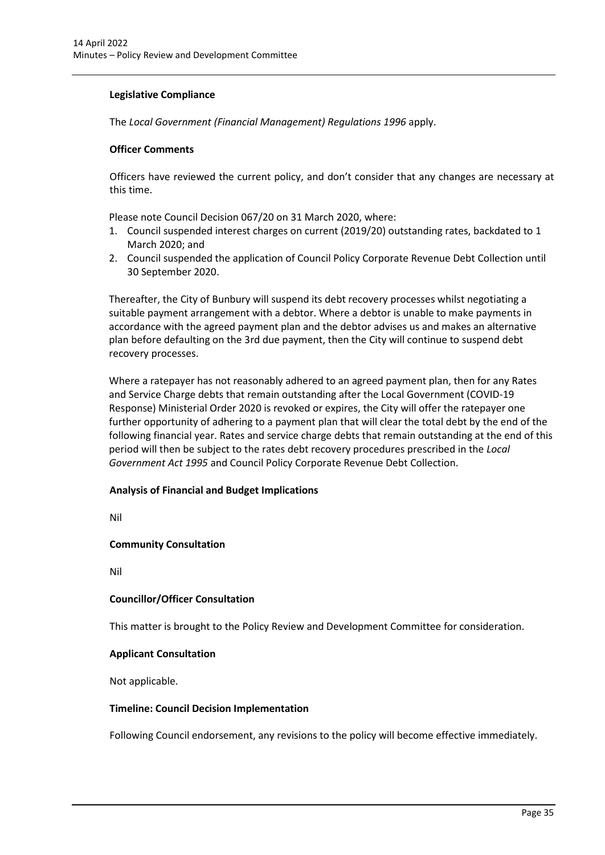# **Legislative Compliance**

The *Local Government (Financial Management) Regulations 1996* apply.

# **Officer Comments**

Officers have reviewed the current policy, and don't consider that any changes are necessary at this time.

Please note Council Decision 067/20 on 31 March 2020, where:

- 1. Council suspended interest charges on current (2019/20) outstanding rates, backdated to 1 March 2020; and
- 2. Council suspended the application of Council Policy Corporate Revenue Debt Collection until 30 September 2020.

Thereafter, the City of Bunbury will suspend its debt recovery processes whilst negotiating a suitable payment arrangement with a debtor. Where a debtor is unable to make payments in accordance with the agreed payment plan and the debtor advises us and makes an alternative plan before defaulting on the 3rd due payment, then the City will continue to suspend debt recovery processes.

Where a ratepayer has not reasonably adhered to an agreed payment plan, then for any Rates and Service Charge debts that remain outstanding after the Local Government (COVID-19 Response) Ministerial Order 2020 is revoked or expires, the City will offer the ratepayer one further opportunity of adhering to a payment plan that will clear the total debt by the end of the following financial year. Rates and service charge debts that remain outstanding at the end of this period will then be subject to the rates debt recovery procedures prescribed in the *Local Government Act 1995* and Council Policy Corporate Revenue Debt Collection.

# **Analysis of Financial and Budget Implications**

Nil

# **Community Consultation**

Nil

# **Councillor/Officer Consultation**

This matter is brought to the Policy Review and Development Committee for consideration.

# **Applicant Consultation**

Not applicable.

# **Timeline: Council Decision Implementation**

Following Council endorsement, any revisions to the policy will become effective immediately.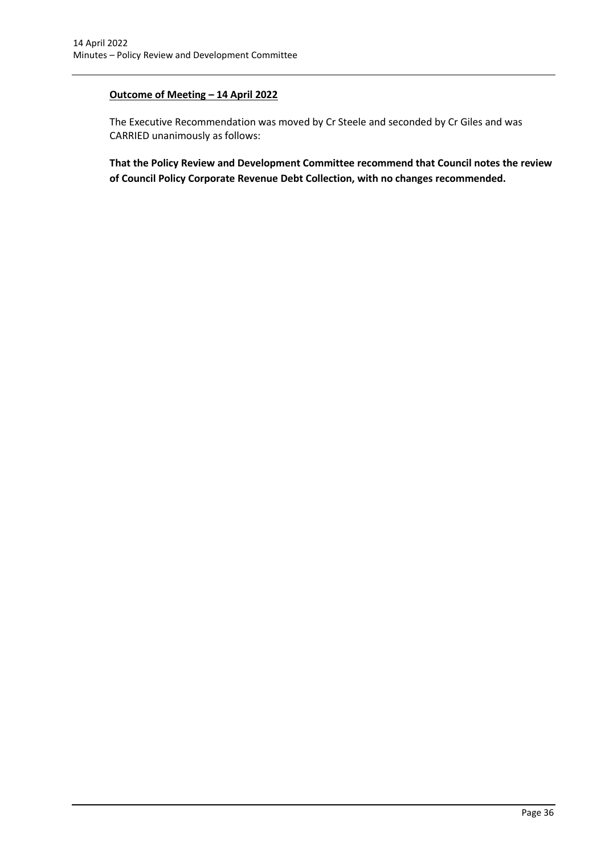# **Outcome of Meeting – 14 April 2022**

The Executive Recommendation was moved by Cr Steele and seconded by Cr Giles and was CARRIED unanimously as follows:

**That the Policy Review and Development Committee recommend that Council notes the review of Council Policy Corporate Revenue Debt Collection, with no changes recommended.**